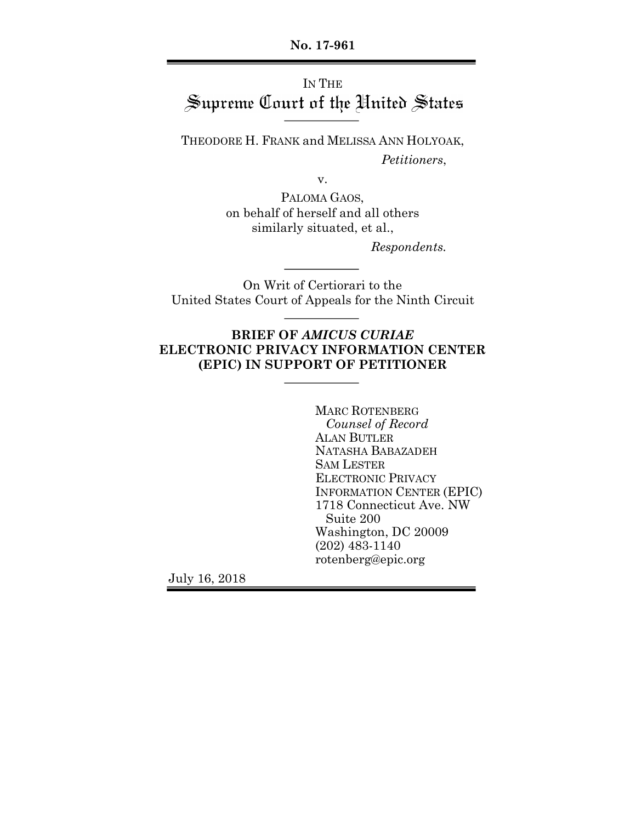**No. 17-961**

# IN THE Supreme Court of the United States

THEODORE H. FRANK and MELISSA ANN HOLYOAK, *Petitioners*,

v.

PALOMA GAOS, on behalf of herself and all others similarly situated, et al.,

*Respondents.*

On Writ of Certiorari to the United States Court of Appeals for the Ninth Circuit

## **BRIEF OF** *AMICUS CURIAE* **ELECTRONIC PRIVACY INFORMATION CENTER (EPIC) IN SUPPORT OF PETITIONER**

MARC ROTENBERG *Counsel of Record* ALAN BUTLER NATASHA BABAZADEH SAM LESTER ELECTRONIC PRIVACY INFORMATION CENTER (EPIC) 1718 Connecticut Ave. NW Suite 200 Washington, DC 20009 (202) 483-1140 rotenberg@epic.org

July 16, 2018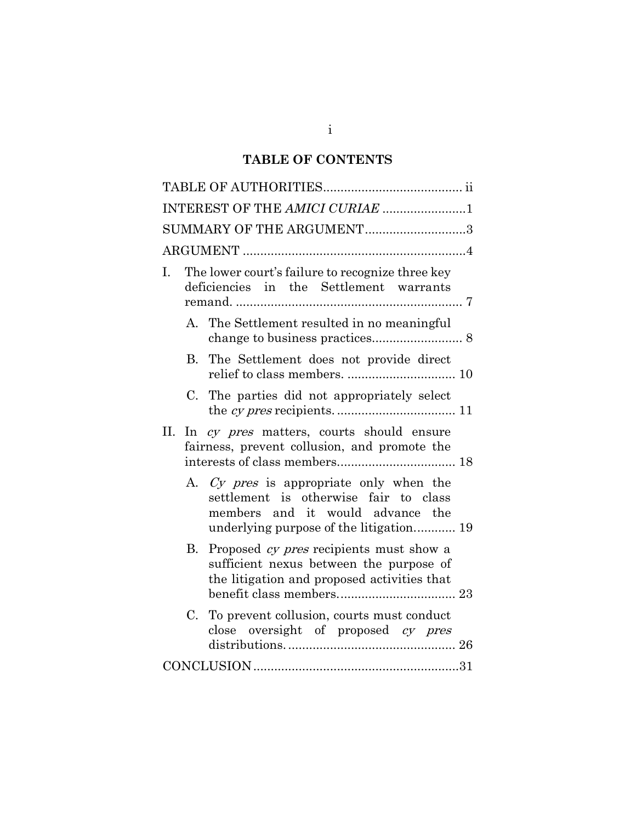## **TABLE OF CONTENTS**

| INTEREST OF THE AMICI CURIAE 1                                                                                                                                  |
|-----------------------------------------------------------------------------------------------------------------------------------------------------------------|
| SUMMARY OF THE ARGUMENT3                                                                                                                                        |
|                                                                                                                                                                 |
| The lower court's failure to recognize three key<br>I.<br>deficiencies in the Settlement warrants                                                               |
| A. The Settlement resulted in no meaningful                                                                                                                     |
| The Settlement does not provide direct<br>B.                                                                                                                    |
| C. The parties did not appropriately select                                                                                                                     |
| II. In cy pres matters, courts should ensure<br>fairness, prevent collusion, and promote the                                                                    |
| A. Cy pres is appropriate only when the<br>settlement is otherwise fair to class<br>members and it would advance the<br>underlying purpose of the litigation 19 |
| Proposed cy pres recipients must show a<br>В.<br>sufficient nexus between the purpose of<br>the litigation and proposed activities that                         |
| To prevent collusion, courts must conduct<br>$C_{\cdot}$<br>close oversight of proposed cy pres                                                                 |
|                                                                                                                                                                 |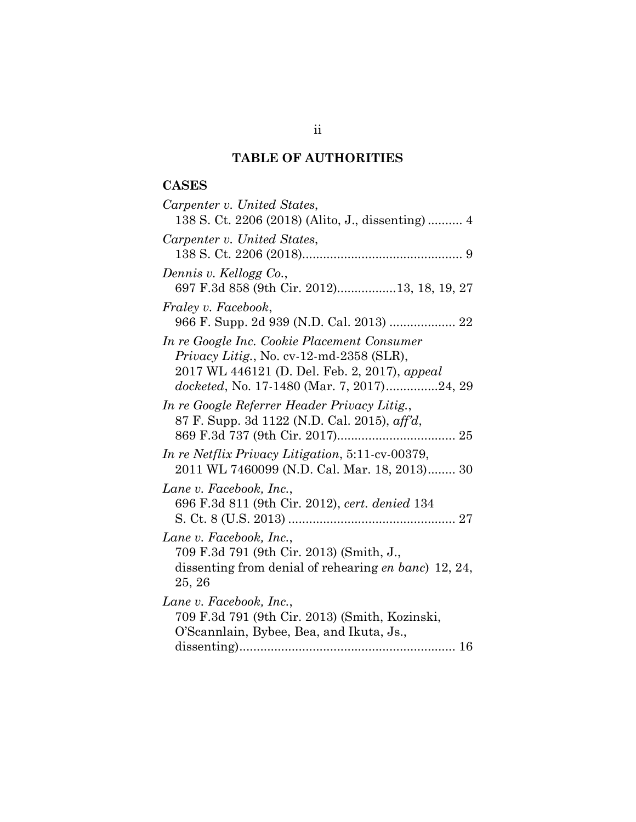## **TABLE OF AUTHORITIES**

## **CASES**

| Carpenter v. United States,<br>138 S. Ct. 2206 (2018) (Alito, J., dissenting) 4                                                                                                        |
|----------------------------------------------------------------------------------------------------------------------------------------------------------------------------------------|
| Carpenter v. United States,                                                                                                                                                            |
| Dennis v. Kellogg Co.,<br>697 F.3d 858 (9th Cir. 2012)13, 18, 19, 27                                                                                                                   |
| <i>Fraley v. Facebook,</i><br>966 F. Supp. 2d 939 (N.D. Cal. 2013)  22                                                                                                                 |
| In re Google Inc. Cookie Placement Consumer<br>Privacy Litig., No. cv-12-md-2358 (SLR),<br>2017 WL 446121 (D. Del. Feb. 2, 2017), appeal<br>docketed, No. 17-1480 (Mar. 7, 2017)24, 29 |
| In re Google Referrer Header Privacy Litig.,<br>87 F. Supp. 3d 1122 (N.D. Cal. 2015), aff'd,                                                                                           |
| In re Netflix Privacy Litigation, 5:11-cv-00379,<br>2011 WL 7460099 (N.D. Cal. Mar. 18, 2013) 30                                                                                       |
| Lane v. Facebook, Inc.,<br>696 F.3d 811 (9th Cir. 2012), cert. denied 134                                                                                                              |
| Lane v. Facebook, Inc.,<br>709 F.3d 791 (9th Cir. 2013) (Smith, J.,<br>dissenting from denial of rehearing <i>en banc</i> ) 12, 24,<br>25, 26                                          |
| Lane v. Facebook, Inc.,<br>709 F.3d 791 (9th Cir. 2013) (Smith, Kozinski,<br>O'Scannlain, Bybee, Bea, and Ikuta, Js.,                                                                  |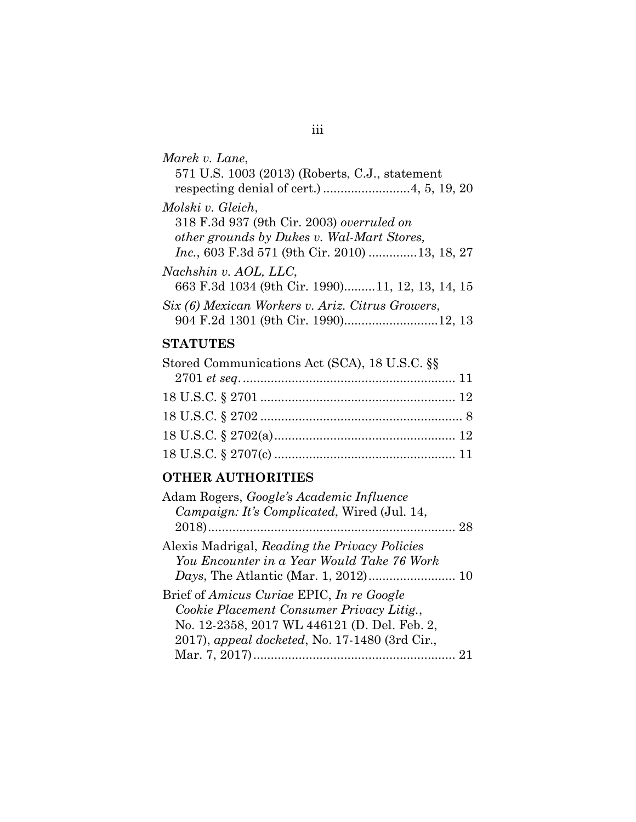| Marek v. Lane,                                        |
|-------------------------------------------------------|
| 571 U.S. 1003 (2013) (Roberts, C.J., statement        |
|                                                       |
| Molski v. Gleich,                                     |
| 318 F.3d 937 (9th Cir. 2003) overruled on             |
| other grounds by Dukes v. Wal-Mart Stores,            |
| <i>Inc.</i> , 603 F.3d 571 (9th Cir. 2010) 13, 18, 27 |
| Nachshin v. AOL, LLC,                                 |
| 663 F.3d 1034 (9th Cir. 1990)11, 12, 13, 14, 15       |
| Six (6) Mexican Workers v. Ariz. Citrus Growers,      |
| 904 F.2d 1301 (9th Cir. 1990)12, 13                   |

## **STATUTES**

| Stored Communications Act (SCA), 18 U.S.C. §§ |  |
|-----------------------------------------------|--|
|                                               |  |
|                                               |  |
|                                               |  |
|                                               |  |
|                                               |  |

## **OTHER AUTHORITIES**

| Adam Rogers, <i>Google's Academic Influence</i>                                                |  |
|------------------------------------------------------------------------------------------------|--|
| Campaign: It's Complicated, Wired (Jul. 14,                                                    |  |
|                                                                                                |  |
| Alexis Madrigal, Reading the Privacy Policies                                                  |  |
| You Encounter in a Year Would Take 76 Work                                                     |  |
|                                                                                                |  |
| Brief of Amicus Curiae EPIC, In re Google                                                      |  |
| Cookie Placement Consumer Privacy Litig.,                                                      |  |
| No. 12-2358, 2017 WL 446121 (D. Del. Feb. 2,<br>2017), appeal docketed, No. 17-1480 (3rd Cir., |  |
|                                                                                                |  |
|                                                                                                |  |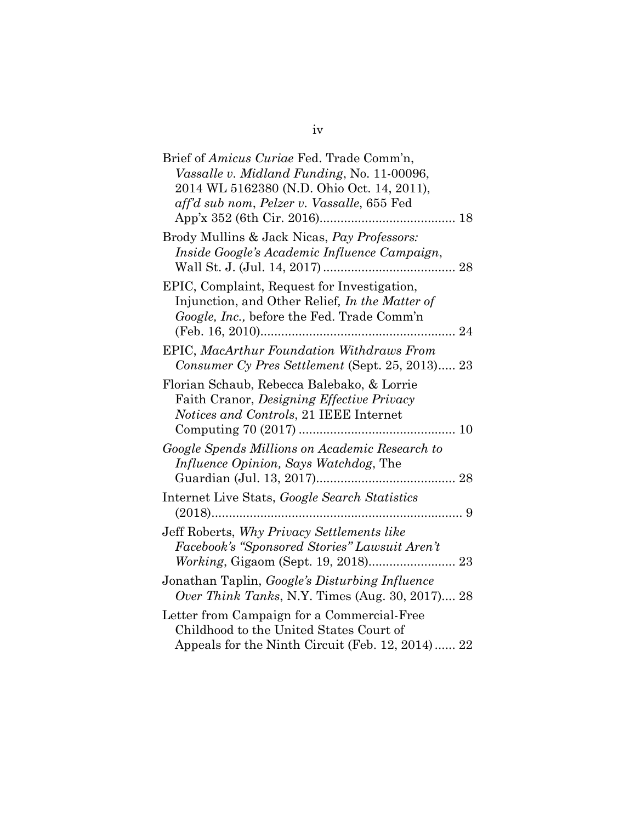| Brief of Amicus Curiae Fed. Trade Comm'n,        |
|--------------------------------------------------|
| Vassalle v. Midland Funding, No. 11-00096,       |
| 2014 WL 5162380 (N.D. Ohio Oct. 14, 2011),       |
| aff'd sub nom, Pelzer v. Vassalle, 655 Fed       |
|                                                  |
| Brody Mullins & Jack Nicas, Pay Professors:      |
| Inside Google's Academic Influence Campaign,     |
|                                                  |
| EPIC, Complaint, Request for Investigation,      |
| Injunction, and Other Relief, In the Matter of   |
| Google, Inc., before the Fed. Trade Comm'n       |
|                                                  |
| EPIC, MacArthur Foundation Withdraws From        |
| Consumer Cy Pres Settlement (Sept. 25, 2013) 23  |
|                                                  |
| Florian Schaub, Rebecca Balebako, & Lorrie       |
| Faith Cranor, Designing Effective Privacy        |
| Notices and Controls, 21 IEEE Internet           |
|                                                  |
| Google Spends Millions on Academic Research to   |
| <i>Influence Opinion, Says Watchdog, The</i>     |
|                                                  |
| Internet Live Stats, Google Search Statistics    |
|                                                  |
| Jeff Roberts, Why Privacy Settlements like       |
| Facebook's "Sponsored Stories" Lawsuit Aren't    |
|                                                  |
| Jonathan Taplin, Google's Disturbing Influence   |
| Over Think Tanks, N.Y. Times (Aug. 30, 2017) 28  |
|                                                  |
| Letter from Campaign for a Commercial-Free       |
| Childhood to the United States Court of          |
| Appeals for the Ninth Circuit (Feb. 12, 2014) 22 |

iv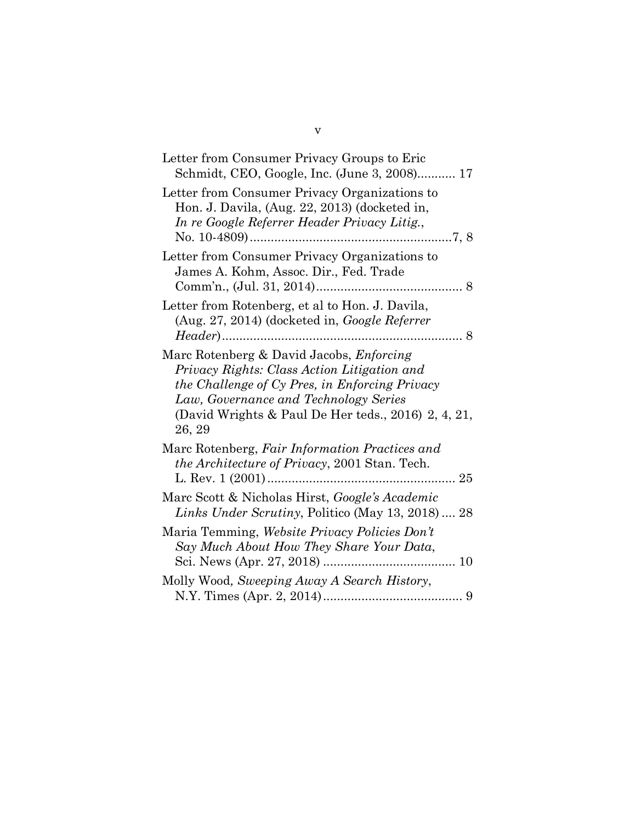| Letter from Consumer Privacy Groups to Eric<br>Schmidt, CEO, Google, Inc. (June 3, 2008) 17                                                                                                                                                         |
|-----------------------------------------------------------------------------------------------------------------------------------------------------------------------------------------------------------------------------------------------------|
| Letter from Consumer Privacy Organizations to<br>Hon. J. Davila, (Aug. 22, 2013) (docketed in,<br>In re Google Referrer Header Privacy Litig.,                                                                                                      |
| Letter from Consumer Privacy Organizations to<br>James A. Kohm, Assoc. Dir., Fed. Trade                                                                                                                                                             |
| Letter from Rotenberg, et al to Hon. J. Davila,<br>(Aug. 27, 2014) (docketed in, Google Referrer                                                                                                                                                    |
| Marc Rotenberg & David Jacobs, Enforcing<br>Privacy Rights: Class Action Litigation and<br>the Challenge of Cy Pres, in Enforcing Privacy<br>Law, Governance and Technology Series<br>(David Wrights & Paul De Her teds., 2016) 2, 4, 21,<br>26, 29 |
| Marc Rotenberg, Fair Information Practices and<br><i>the Architecture of Privacy</i> , 2001 Stan. Tech.                                                                                                                                             |
| Marc Scott & Nicholas Hirst, Google's Academic<br>Links Under Scrutiny, Politico (May 13, 2018)  28                                                                                                                                                 |
| Maria Temming, Website Privacy Policies Don't<br>Say Much About How They Share Your Data,                                                                                                                                                           |
| Molly Wood, Sweeping Away A Search History,                                                                                                                                                                                                         |

v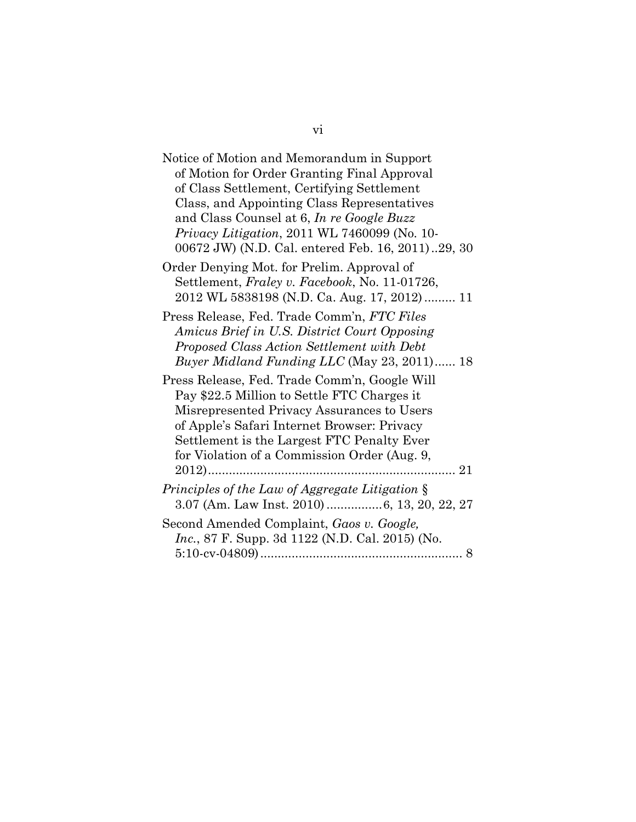| Notice of Motion and Memorandum in Support              |
|---------------------------------------------------------|
| of Motion for Order Granting Final Approval             |
| of Class Settlement, Certifying Settlement              |
| Class, and Appointing Class Representatives             |
| and Class Counsel at 6, In re Google Buzz               |
| <i>Privacy Litigation, 2011 WL 7460099 (No. 10-</i>     |
| 00672 JW) (N.D. Cal. entered Feb. 16, 2011)29, 30       |
| Order Denying Mot. for Prelim. Approval of              |
| Settlement, Fraley v. Facebook, No. 11-01726,           |
| 2012 WL 5838198 (N.D. Ca. Aug. 17, 2012) 11             |
| Press Release, Fed. Trade Comm'n, FTC Files             |
| Amicus Brief in U.S. District Court Opposing            |
| Proposed Class Action Settlement with Debt              |
| Buyer Midland Funding LLC (May 23, 2011) 18             |
| Press Release, Fed. Trade Comm'n, Google Will           |
| Pay \$22.5 Million to Settle FTC Charges it             |
| Misrepresented Privacy Assurances to Users              |
| of Apple's Safari Internet Browser: Privacy             |
| Settlement is the Largest FTC Penalty Ever              |
| for Violation of a Commission Order (Aug. 9,            |
| 21                                                      |
|                                                         |
| Principles of the Law of Aggregate Litigation §         |
| 3.07 (Am. Law Inst. 2010)  6, 13, 20, 22, 27            |
| Second Amended Complaint, Gaos v. Google,               |
| <i>Inc.</i> , 87 F. Supp. 3d 1122 (N.D. Cal. 2015) (No. |
|                                                         |

## vi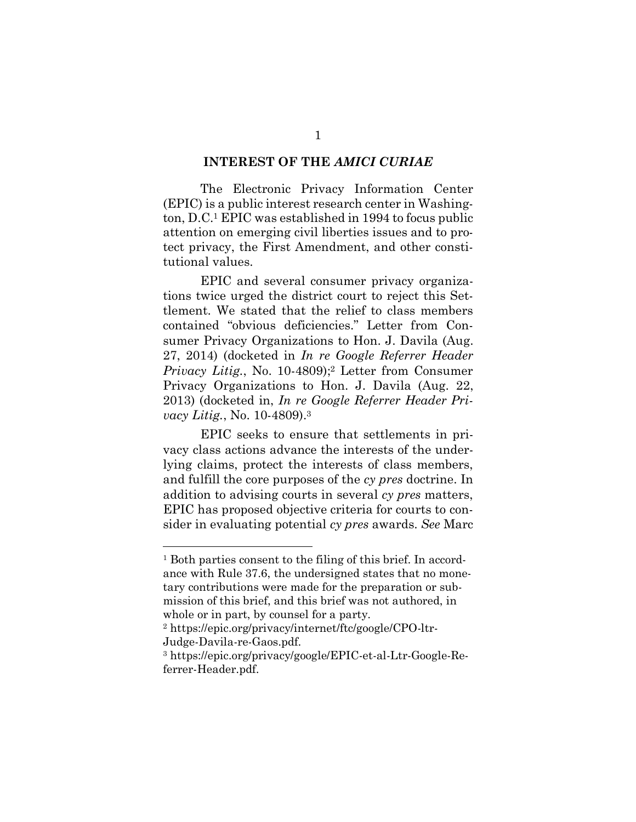#### **INTEREST OF THE** *AMICI CURIAE*

The Electronic Privacy Information Center (EPIC) is a public interest research center in Washington, D.C.1 EPIC was established in 1994 to focus public attention on emerging civil liberties issues and to protect privacy, the First Amendment, and other constitutional values.

EPIC and several consumer privacy organizations twice urged the district court to reject this Settlement. We stated that the relief to class members contained "obvious deficiencies." Letter from Consumer Privacy Organizations to Hon. J. Davila (Aug. 27, 2014) (docketed in *In re Google Referrer Header Privacy Litig.*, No. 10-4809);<sup>2</sup> Letter from Consumer Privacy Organizations to Hon. J. Davila (Aug. 22, 2013) (docketed in, *In re Google Referrer Header Privacy Litig.*, No. 10-4809).3

EPIC seeks to ensure that settlements in privacy class actions advance the interests of the underlying claims, protect the interests of class members, and fulfill the core purposes of the *cy pres* doctrine. In addition to advising courts in several *cy pres* matters, EPIC has proposed objective criteria for courts to consider in evaluating potential *cy pres* awards. *See* Marc

<sup>&</sup>lt;sup>1</sup> Both parties consent to the filing of this brief. In accordance with Rule 37.6, the undersigned states that no monetary contributions were made for the preparation or submission of this brief, and this brief was not authored, in whole or in part, by counsel for a party.

<sup>2</sup> https://epic.org/privacy/internet/ftc/google/CPO-ltr-Judge-Davila-re-Gaos.pdf.

<sup>3</sup> https://epic.org/privacy/google/EPIC-et-al-Ltr-Google-Referrer-Header.pdf.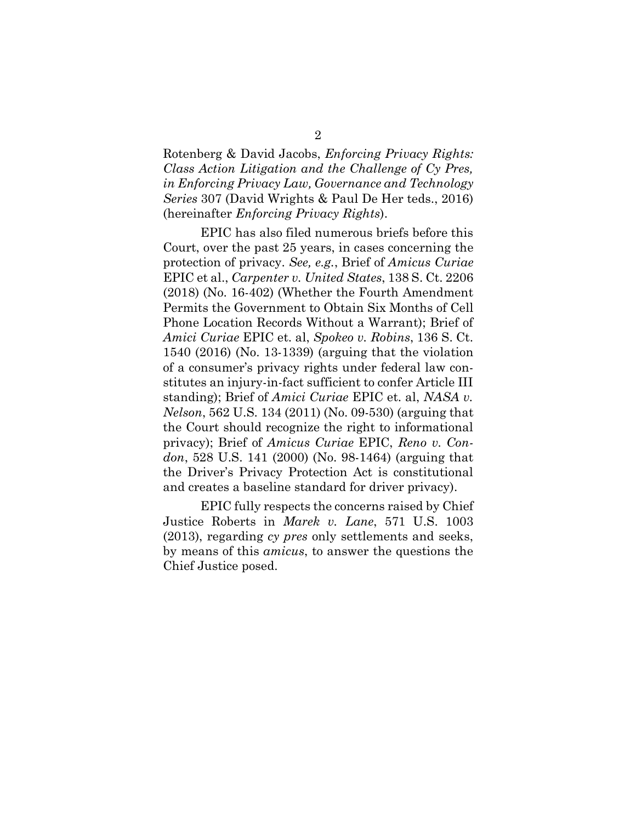Rotenberg & David Jacobs, *Enforcing Privacy Rights: Class Action Litigation and the Challenge of Cy Pres, in Enforcing Privacy Law, Governance and Technology Series* 307 (David Wrights & Paul De Her teds., 2016) (hereinafter *Enforcing Privacy Rights*).

EPIC has also filed numerous briefs before this Court, over the past 25 years, in cases concerning the protection of privacy. *See, e.g.*, Brief of *Amicus Curiae*  EPIC et al., *Carpenter v. United States*, 138 S. Ct. 2206 (2018) (No. 16-402) (Whether the Fourth Amendment Permits the Government to Obtain Six Months of Cell Phone Location Records Without a Warrant); Brief of *Amici Curiae* EPIC et. al, *Spokeo v. Robins*, 136 S. Ct. 1540 (2016) (No. 13-1339) (arguing that the violation of a consumer's privacy rights under federal law constitutes an injury-in-fact sufficient to confer Article III standing); Brief of *Amici Curiae* EPIC et. al, *NASA v. Nelson*, 562 U.S. 134 (2011) (No. 09-530) (arguing that the Court should recognize the right to informational privacy); Brief of *Amicus Curiae* EPIC, *Reno v. Condon*, 528 U.S. 141 (2000) (No. 98-1464) (arguing that the Driver's Privacy Protection Act is constitutional and creates a baseline standard for driver privacy).

EPIC fully respects the concerns raised by Chief Justice Roberts in *Marek v. Lane*, 571 U.S. 1003 (2013), regarding *cy pres* only settlements and seeks, by means of this *amicus*, to answer the questions the Chief Justice posed.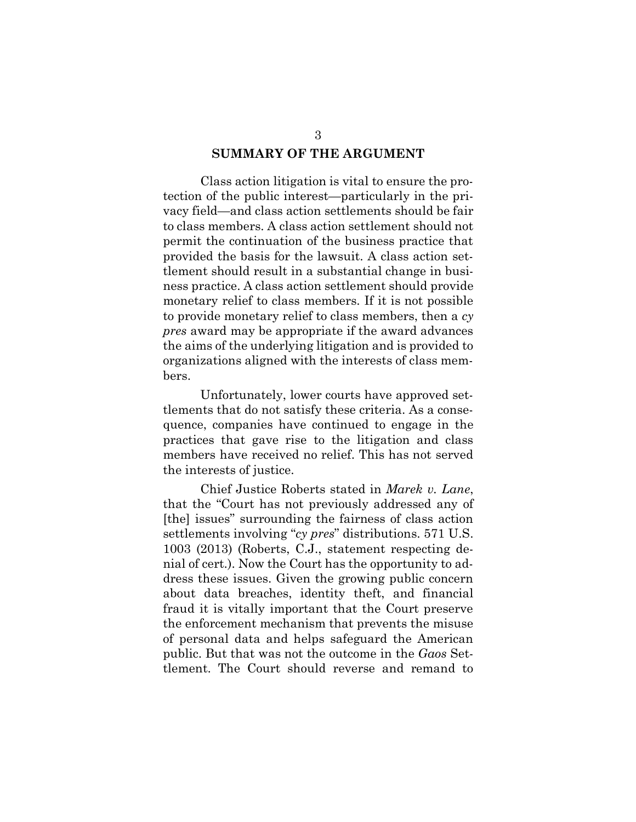#### **SUMMARY OF THE ARGUMENT**

Class action litigation is vital to ensure the protection of the public interest—particularly in the privacy field—and class action settlements should be fair to class members. A class action settlement should not permit the continuation of the business practice that provided the basis for the lawsuit. A class action settlement should result in a substantial change in business practice. A class action settlement should provide monetary relief to class members. If it is not possible to provide monetary relief to class members, then a *cy pres* award may be appropriate if the award advances the aims of the underlying litigation and is provided to organizations aligned with the interests of class members.

Unfortunately, lower courts have approved settlements that do not satisfy these criteria. As a consequence, companies have continued to engage in the practices that gave rise to the litigation and class members have received no relief. This has not served the interests of justice.

Chief Justice Roberts stated in *Marek v. Lane*, that the "Court has not previously addressed any of [the] issues" surrounding the fairness of class action settlements involving "*cy pres*" distributions. 571 U.S. 1003 (2013) (Roberts, C.J., statement respecting denial of cert.). Now the Court has the opportunity to address these issues. Given the growing public concern about data breaches, identity theft, and financial fraud it is vitally important that the Court preserve the enforcement mechanism that prevents the misuse of personal data and helps safeguard the American public. But that was not the outcome in the *Gaos* Settlement. The Court should reverse and remand to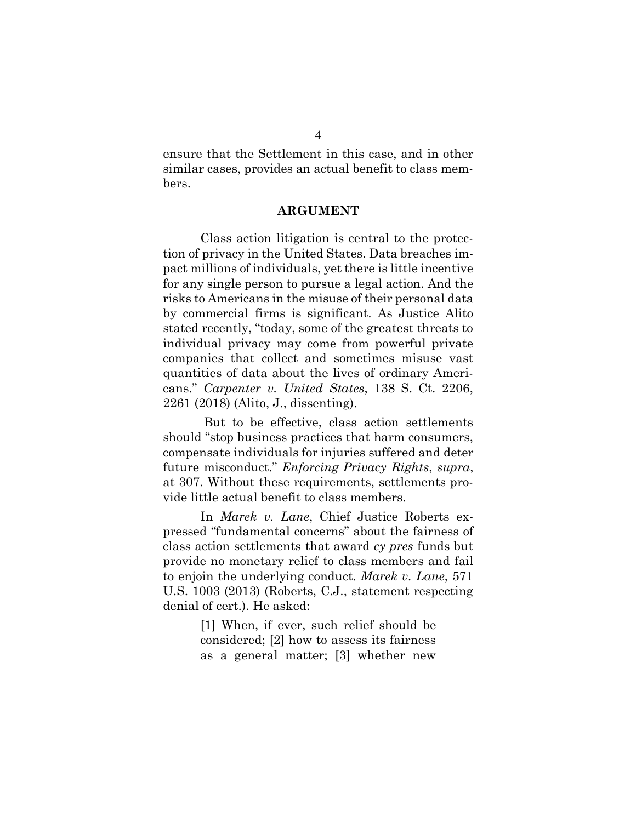ensure that the Settlement in this case, and in other similar cases, provides an actual benefit to class members.

#### **ARGUMENT**

Class action litigation is central to the protection of privacy in the United States. Data breaches impact millions of individuals, yet there is little incentive for any single person to pursue a legal action. And the risks to Americans in the misuse of their personal data by commercial firms is significant. As Justice Alito stated recently, "today, some of the greatest threats to individual privacy may come from powerful private companies that collect and sometimes misuse vast quantities of data about the lives of ordinary Americans." *Carpenter v. United States*, 138 S. Ct. 2206, 2261 (2018) (Alito, J., dissenting).

But to be effective, class action settlements should "stop business practices that harm consumers, compensate individuals for injuries suffered and deter future misconduct." *Enforcing Privacy Rights*, *supra*, at 307. Without these requirements, settlements provide little actual benefit to class members.

In *Marek v. Lane*, Chief Justice Roberts expressed "fundamental concerns" about the fairness of class action settlements that award *cy pres* funds but provide no monetary relief to class members and fail to enjoin the underlying conduct. *Marek v. Lane*, 571 U.S. 1003 (2013) (Roberts, C.J., statement respecting denial of cert.). He asked:

> [1] When, if ever, such relief should be considered; [2] how to assess its fairness as a general matter; [3] whether new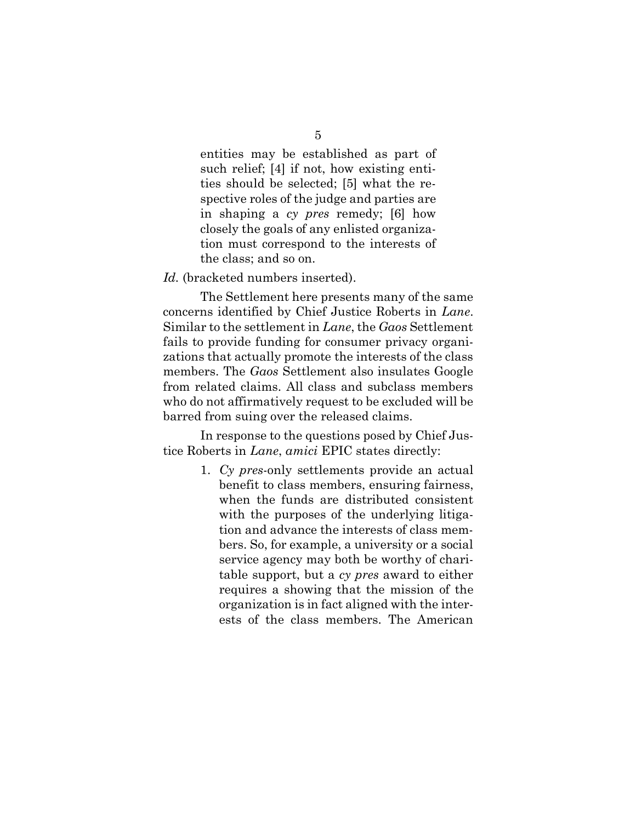entities may be established as part of such relief; [4] if not, how existing entities should be selected; [5] what the respective roles of the judge and parties are in shaping a *cy pres* remedy; [6] how closely the goals of any enlisted organization must correspond to the interests of the class; and so on.

Id. (bracketed numbers inserted).

The Settlement here presents many of the same concerns identified by Chief Justice Roberts in *Lane*. Similar to the settlement in *Lane*, the *Gaos* Settlement fails to provide funding for consumer privacy organizations that actually promote the interests of the class members. The *Gaos* Settlement also insulates Google from related claims. All class and subclass members who do not affirmatively request to be excluded will be barred from suing over the released claims.

In response to the questions posed by Chief Justice Roberts in *Lane*, *amici* EPIC states directly:

> 1. *Cy pres*-only settlements provide an actual benefit to class members, ensuring fairness, when the funds are distributed consistent with the purposes of the underlying litigation and advance the interests of class members. So, for example, a university or a social service agency may both be worthy of charitable support, but a *cy pres* award to either requires a showing that the mission of the organization is in fact aligned with the interests of the class members. The American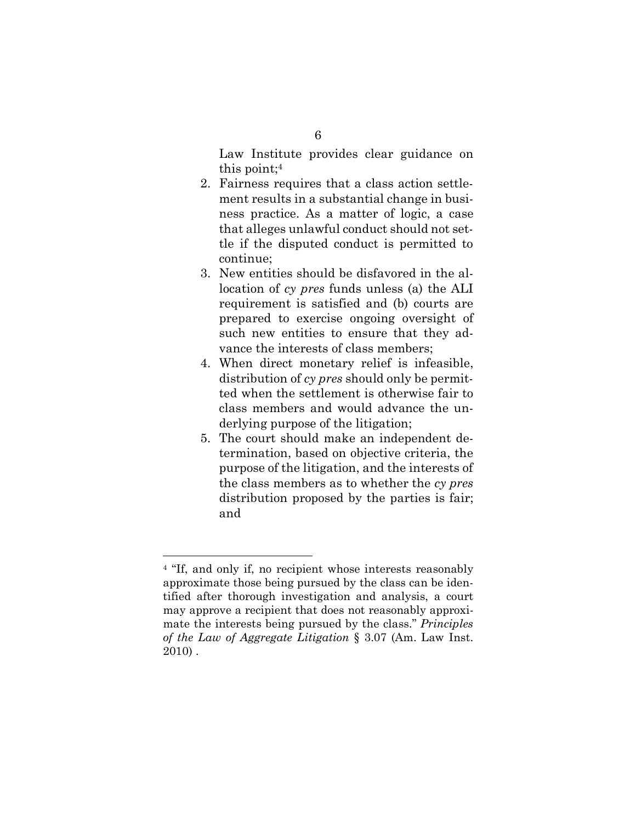Law Institute provides clear guidance on this point;4

- 2. Fairness requires that a class action settlement results in a substantial change in business practice. As a matter of logic, a case that alleges unlawful conduct should not settle if the disputed conduct is permitted to continue;
- 3. New entities should be disfavored in the allocation of *cy pres* funds unless (a) the ALI requirement is satisfied and (b) courts are prepared to exercise ongoing oversight of such new entities to ensure that they advance the interests of class members;
- 4. When direct monetary relief is infeasible, distribution of *cy pres* should only be permitted when the settlement is otherwise fair to class members and would advance the underlying purpose of the litigation;
- 5. The court should make an independent determination, based on objective criteria, the purpose of the litigation, and the interests of the class members as to whether the *cy pres* distribution proposed by the parties is fair; and

<sup>&</sup>lt;sup>4</sup> "If, and only if, no recipient whose interests reasonably approximate those being pursued by the class can be identified after thorough investigation and analysis, a court may approve a recipient that does not reasonably approximate the interests being pursued by the class." *Principles of the Law of Aggregate Litigation* § 3.07 (Am. Law Inst. 2010) .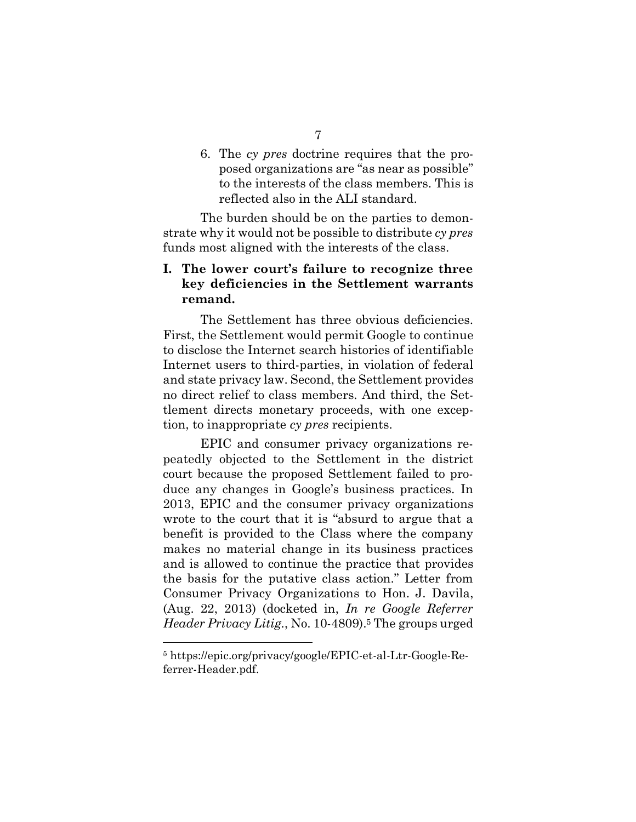6. The *cy pres* doctrine requires that the proposed organizations are "as near as possible" to the interests of the class members. This is reflected also in the ALI standard.

The burden should be on the parties to demonstrate why it would not be possible to distribute *cy pres* funds most aligned with the interests of the class.

## **I. The lower court's failure to recognize three key deficiencies in the Settlement warrants remand.**

The Settlement has three obvious deficiencies. First, the Settlement would permit Google to continue to disclose the Internet search histories of identifiable Internet users to third-parties, in violation of federal and state privacy law. Second, the Settlement provides no direct relief to class members. And third, the Settlement directs monetary proceeds, with one exception, to inappropriate *cy pres* recipients.

EPIC and consumer privacy organizations repeatedly objected to the Settlement in the district court because the proposed Settlement failed to produce any changes in Google's business practices. In 2013, EPIC and the consumer privacy organizations wrote to the court that it is "absurd to argue that a benefit is provided to the Class where the company makes no material change in its business practices and is allowed to continue the practice that provides the basis for the putative class action." Letter from Consumer Privacy Organizations to Hon. J. Davila, (Aug. 22, 2013) (docketed in, *In re Google Referrer Header Privacy Litig.*, No. 10-4809).<sup>5</sup> The groups urged

<sup>5</sup> https://epic.org/privacy/google/EPIC-et-al-Ltr-Google-Referrer-Header.pdf.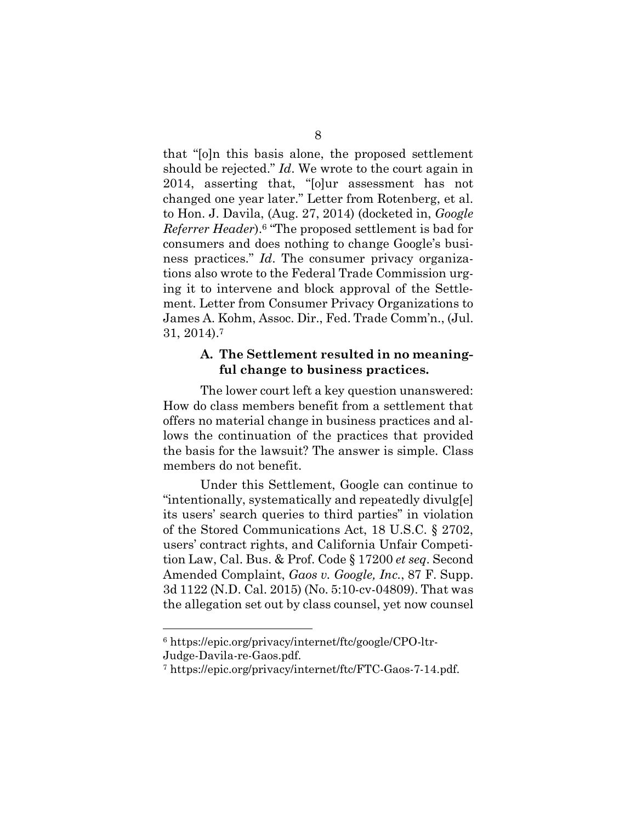that "[o]n this basis alone, the proposed settlement should be rejected." *Id*. We wrote to the court again in 2014, asserting that, "[o]ur assessment has not changed one year later." Letter from Rotenberg, et al. to Hon. J. Davila, (Aug. 27, 2014) (docketed in, *Google Referrer Header*).6 "The proposed settlement is bad for consumers and does nothing to change Google's business practices." *Id*. The consumer privacy organizations also wrote to the Federal Trade Commission urging it to intervene and block approval of the Settlement. Letter from Consumer Privacy Organizations to James A. Kohm, Assoc. Dir., Fed. Trade Comm'n., (Jul. 31, 2014).7

### **A. The Settlement resulted in no meaningful change to business practices.**

The lower court left a key question unanswered: How do class members benefit from a settlement that offers no material change in business practices and allows the continuation of the practices that provided the basis for the lawsuit? The answer is simple. Class members do not benefit.

Under this Settlement, Google can continue to "intentionally, systematically and repeatedly divulg[e] its users' search queries to third parties" in violation of the Stored Communications Act, 18 U.S.C. § 2702, users' contract rights, and California Unfair Competition Law, Cal. Bus. & Prof. Code § 17200 *et seq*. Second Amended Complaint, *Gaos v. Google, Inc.*, 87 F. Supp. 3d 1122 (N.D. Cal. 2015) (No. 5:10-cv-04809). That was the allegation set out by class counsel, yet now counsel

<sup>6</sup> https://epic.org/privacy/internet/ftc/google/CPO-ltr-Judge-Davila-re-Gaos.pdf.

<sup>7</sup> https://epic.org/privacy/internet/ftc/FTC-Gaos-7-14.pdf.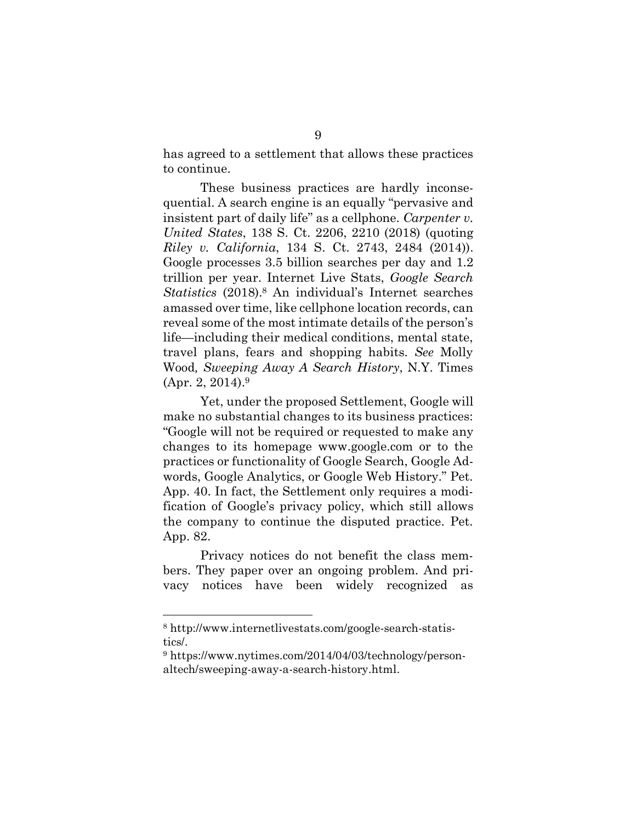has agreed to a settlement that allows these practices to continue.

These business practices are hardly inconsequential. A search engine is an equally "pervasive and insistent part of daily life" as a cellphone. *Carpenter v. United States*, 138 S. Ct. 2206, 2210 (2018) (quoting *Riley v. California*, 134 S. Ct. 2743, 2484 (2014)). Google processes 3.5 billion searches per day and 1.2 trillion per year. Internet Live Stats, *Google Search Statistics* (2018). <sup>8</sup> An individual's Internet searches amassed over time, like cellphone location records, can reveal some of the most intimate details of the person's life—including their medical conditions, mental state, travel plans, fears and shopping habits. *See* Molly Wood*, Sweeping Away A Search History*, N.Y. Times (Apr. 2, 2014).9

Yet, under the proposed Settlement, Google will make no substantial changes to its business practices: "Google will not be required or requested to make any changes to its homepage www.google.com or to the practices or functionality of Google Search, Google Adwords, Google Analytics, or Google Web History." Pet. App. 40. In fact, the Settlement only requires a modification of Google's privacy policy, which still allows the company to continue the disputed practice. Pet. App. 82.

Privacy notices do not benefit the class members. They paper over an ongoing problem. And privacy notices have been widely recognized as

<sup>8</sup> http://www.internetlivestats.com/google-search-statistics/.

<sup>&</sup>lt;sup>9</sup> https://www.nytimes.com/2014/04/03/technology/personaltech/sweeping-away-a-search-history.html.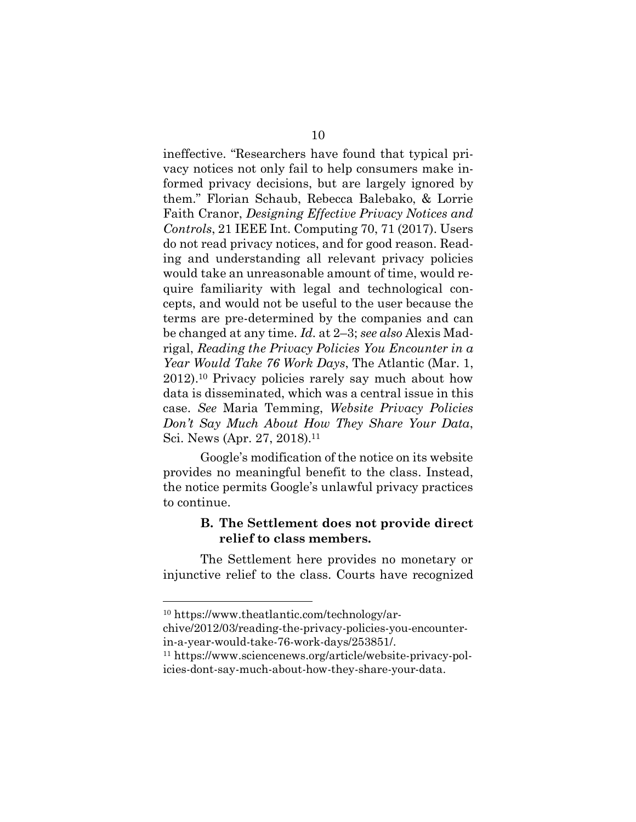ineffective. "Researchers have found that typical privacy notices not only fail to help consumers make informed privacy decisions, but are largely ignored by them." Florian Schaub, Rebecca Balebako, & Lorrie Faith Cranor, *Designing Effective Privacy Notices and Controls*, 21 IEEE Int. Computing 70, 71 (2017). Users do not read privacy notices, and for good reason. Reading and understanding all relevant privacy policies would take an unreasonable amount of time, would require familiarity with legal and technological concepts, and would not be useful to the user because the terms are pre-determined by the companies and can be changed at any time. *Id.* at 2–3; *see also* Alexis Madrigal, *Reading the Privacy Policies You Encounter in a Year Would Take 76 Work Days*, The Atlantic (Mar. 1, 2012). <sup>10</sup> Privacy policies rarely say much about how data is disseminated, which was a central issue in this case. *See* Maria Temming, *Website Privacy Policies Don't Say Much About How They Share Your Data*, Sci. News (Apr. 27, 2018).<sup>11</sup>

Google's modification of the notice on its website provides no meaningful benefit to the class. Instead, the notice permits Google's unlawful privacy practices to continue.

## **B. The Settlement does not provide direct relief to class members.**

The Settlement here provides no monetary or injunctive relief to the class. Courts have recognized

1

<sup>10</sup> https://www.theatlantic.com/technology/ar-

chive/2012/03/reading-the-privacy-policies-you-encounterin-a-year-would-take-76-work-days/253851/.

<sup>11</sup> https://www.sciencenews.org/article/website-privacy-policies-dont-say-much-about-how-they-share-your-data.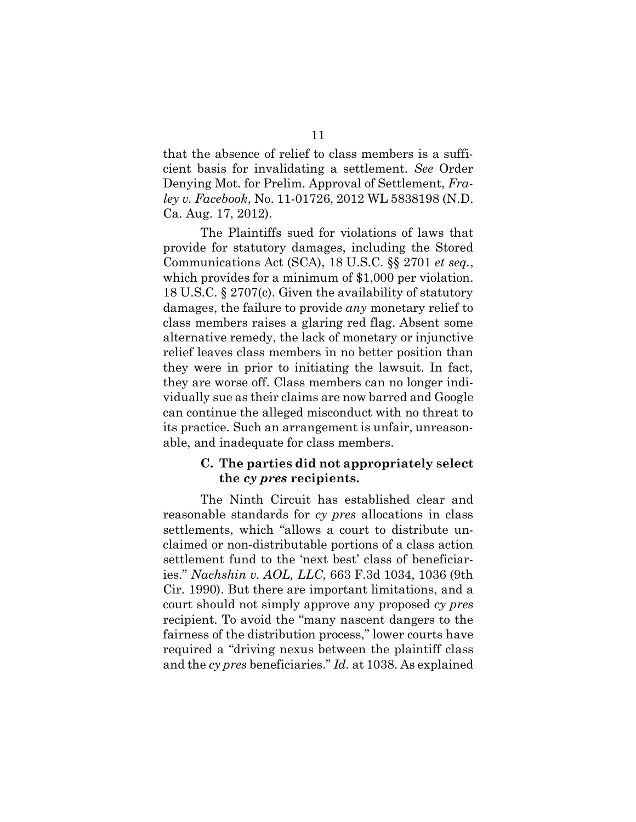that the absence of relief to class members is a sufficient basis for invalidating a settlement. *See* Order Denying Mot. for Prelim. Approval of Settlement, *Fraley v. Facebook*, No. 11-01726, 2012 WL 5838198 (N.D. Ca. Aug. 17, 2012).

The Plaintiffs sued for violations of laws that provide for statutory damages, including the Stored Communications Act (SCA), 18 U.S.C. §§ 2701 *et seq.*, which provides for a minimum of \$1,000 per violation. 18 U.S.C. § 2707(c). Given the availability of statutory damages, the failure to provide *any* monetary relief to class members raises a glaring red flag. Absent some alternative remedy, the lack of monetary or injunctive relief leaves class members in no better position than they were in prior to initiating the lawsuit. In fact, they are worse off. Class members can no longer individually sue as their claims are now barred and Google can continue the alleged misconduct with no threat to its practice. Such an arrangement is unfair, unreasonable, and inadequate for class members.

### **C. The parties did not appropriately select the** *cy pres* **recipients.**

The Ninth Circuit has established clear and reasonable standards for *cy pres* allocations in class settlements, which "allows a court to distribute unclaimed or non-distributable portions of a class action settlement fund to the 'next best' class of beneficiaries." *Nachshin v. AOL, LLC*, 663 F.3d 1034, 1036 (9th Cir. 1990). But there are important limitations, and a court should not simply approve any proposed *cy pres*  recipient. To avoid the "many nascent dangers to the fairness of the distribution process," lower courts have required a "driving nexus between the plaintiff class and the *cy pres* beneficiaries." *Id.* at 1038. As explained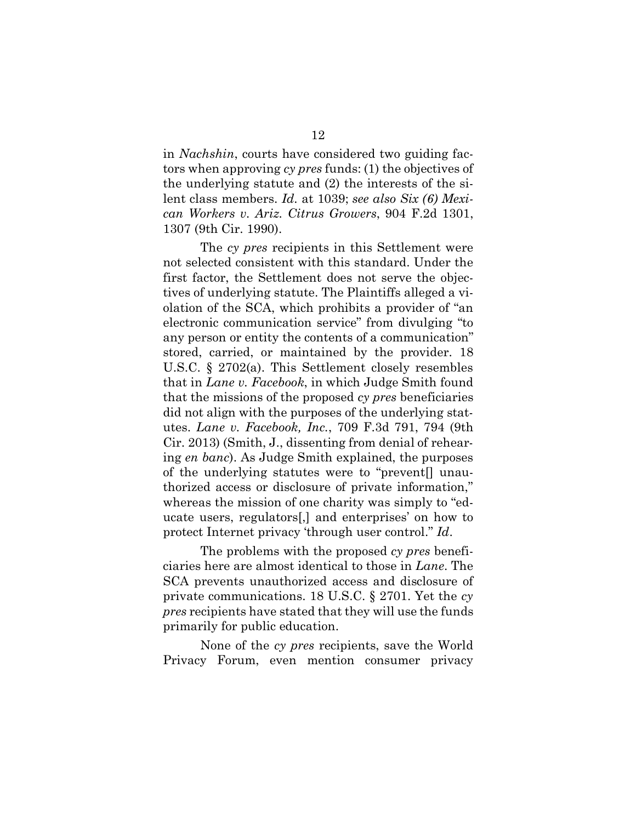in *Nachshin*, courts have considered two guiding factors when approving *cy pres* funds: (1) the objectives of the underlying statute and (2) the interests of the silent class members. *Id.* at 1039; *see also Six (6) Mexican Workers v. Ariz. Citrus Growers*, 904 F.2d 1301, 1307 (9th Cir. 1990).

The *cy pres* recipients in this Settlement were not selected consistent with this standard. Under the first factor, the Settlement does not serve the objectives of underlying statute. The Plaintiffs alleged a violation of the SCA, which prohibits a provider of "an electronic communication service" from divulging "to any person or entity the contents of a communication" stored, carried, or maintained by the provider. 18 U.S.C. § 2702(a). This Settlement closely resembles that in *Lane v. Facebook*, in which Judge Smith found that the missions of the proposed *cy pres* beneficiaries did not align with the purposes of the underlying statutes. *Lane v. Facebook, Inc.*, 709 F.3d 791, 794 (9th Cir. 2013) (Smith, J., dissenting from denial of rehearing *en banc*). As Judge Smith explained, the purposes of the underlying statutes were to "prevent[] unauthorized access or disclosure of private information," whereas the mission of one charity was simply to "educate users, regulators[,] and enterprises' on how to protect Internet privacy 'through user control." *Id*.

The problems with the proposed *cy pres* beneficiaries here are almost identical to those in *Lane*. The SCA prevents unauthorized access and disclosure of private communications. 18 U.S.C. § 2701. Yet the *cy pres* recipients have stated that they will use the funds primarily for public education.

None of the *cy pres* recipients, save the World Privacy Forum, even mention consumer privacy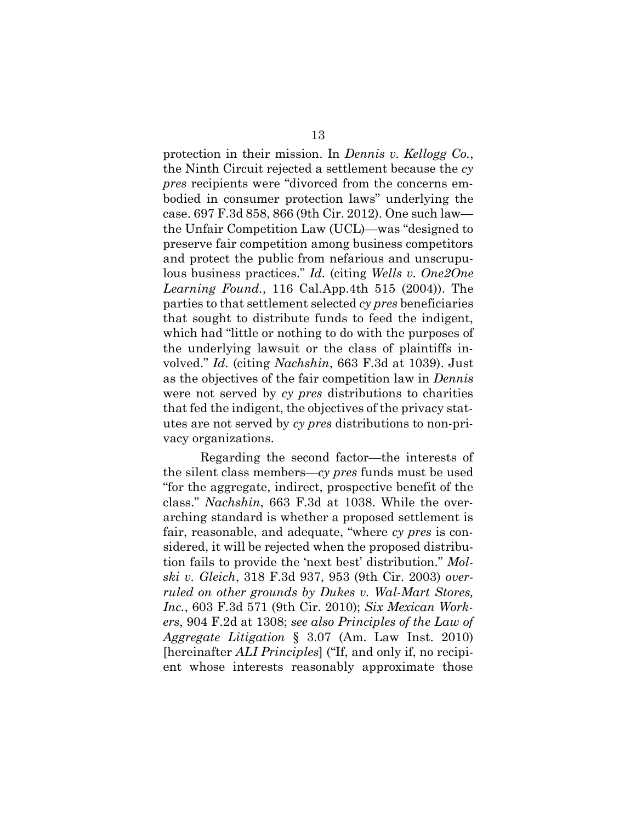protection in their mission. In *Dennis v. Kellogg Co.*, the Ninth Circuit rejected a settlement because the *cy pres* recipients were "divorced from the concerns embodied in consumer protection laws" underlying the case. 697 F.3d 858, 866 (9th Cir. 2012). One such law the Unfair Competition Law (UCL)—was "designed to preserve fair competition among business competitors and protect the public from nefarious and unscrupulous business practices." *Id.* (citing *Wells v. One2One Learning Found.*, 116 Cal.App.4th 515 (2004)). The parties to that settlement selected *cy pres* beneficiaries that sought to distribute funds to feed the indigent, which had "little or nothing to do with the purposes of the underlying lawsuit or the class of plaintiffs involved." *Id.* (citing *Nachshin*, 663 F.3d at 1039). Just as the objectives of the fair competition law in *Dennis* were not served by *cy pres* distributions to charities that fed the indigent, the objectives of the privacy statutes are not served by *cy pres* distributions to non-privacy organizations.

Regarding the second factor—the interests of the silent class members—*cy pres* funds must be used "for the aggregate, indirect, prospective benefit of the class." *Nachshin*, 663 F.3d at 1038. While the overarching standard is whether a proposed settlement is fair, reasonable, and adequate, "where *cy pres* is considered, it will be rejected when the proposed distribution fails to provide the 'next best' distribution." *Molski v. Gleich*, 318 F.3d 937, 953 (9th Cir. 2003) *overruled on other grounds by Dukes v. Wal-Mart Stores, Inc.*, 603 F.3d 571 (9th Cir. 2010); *Six Mexican Workers*, 904 F.2d at 1308; *see also Principles of the Law of Aggregate Litigation* § 3.07 (Am. Law Inst. 2010) [hereinafter *ALI Principles*] ("If, and only if, no recipient whose interests reasonably approximate those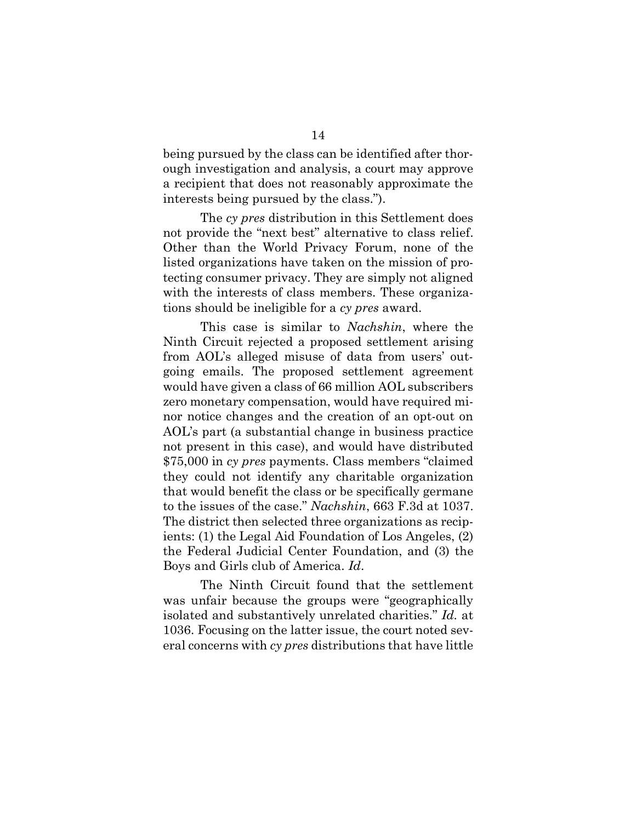being pursued by the class can be identified after thorough investigation and analysis, a court may approve a recipient that does not reasonably approximate the interests being pursued by the class.").

The *cy pres* distribution in this Settlement does not provide the "next best" alternative to class relief. Other than the World Privacy Forum, none of the listed organizations have taken on the mission of protecting consumer privacy. They are simply not aligned with the interests of class members. These organizations should be ineligible for a *cy pres* award.

This case is similar to *Nachshin*, where the Ninth Circuit rejected a proposed settlement arising from AOL's alleged misuse of data from users' outgoing emails. The proposed settlement agreement would have given a class of 66 million AOL subscribers zero monetary compensation, would have required minor notice changes and the creation of an opt-out on AOL's part (a substantial change in business practice not present in this case), and would have distributed \$75,000 in *cy pres* payments. Class members "claimed they could not identify any charitable organization that would benefit the class or be specifically germane to the issues of the case." *Nachshin*, 663 F.3d at 1037. The district then selected three organizations as recipients: (1) the Legal Aid Foundation of Los Angeles, (2) the Federal Judicial Center Foundation, and (3) the Boys and Girls club of America. *Id*.

The Ninth Circuit found that the settlement was unfair because the groups were "geographically isolated and substantively unrelated charities." *Id.* at 1036. Focusing on the latter issue, the court noted several concerns with *cy pres* distributions that have little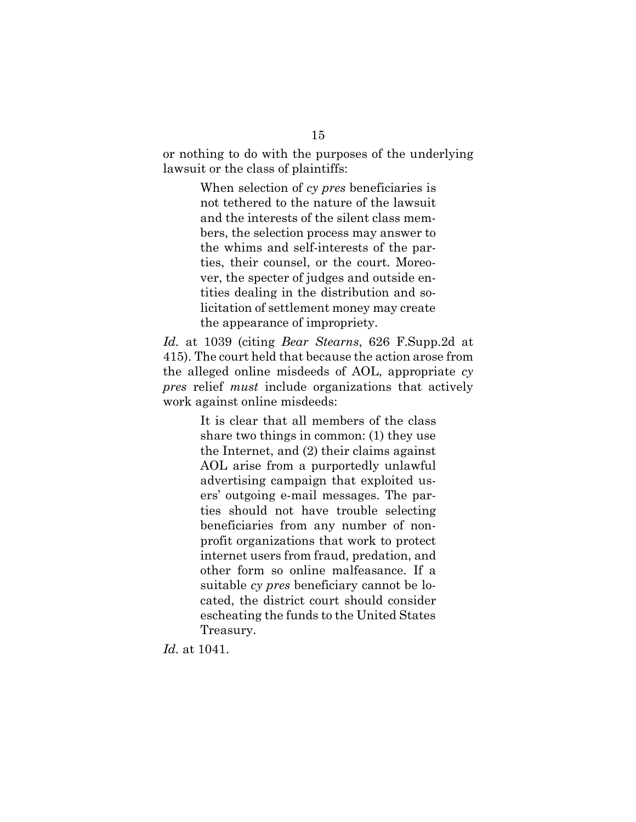or nothing to do with the purposes of the underlying lawsuit or the class of plaintiffs:

> When selection of *cy pres* beneficiaries is not tethered to the nature of the lawsuit and the interests of the silent class members, the selection process may answer to the whims and self-interests of the parties, their counsel, or the court. Moreover, the specter of judges and outside entities dealing in the distribution and solicitation of settlement money may create the appearance of impropriety.

*Id.* at 1039 (citing *Bear Stearns*, 626 F.Supp.2d at 415). The court held that because the action arose from the alleged online misdeeds of AOL, appropriate *cy pres* relief *must* include organizations that actively work against online misdeeds:

> It is clear that all members of the class share two things in common: (1) they use the Internet, and (2) their claims against AOL arise from a purportedly unlawful advertising campaign that exploited users' outgoing e-mail messages. The parties should not have trouble selecting beneficiaries from any number of nonprofit organizations that work to protect internet users from fraud, predation, and other form so online malfeasance. If a suitable *cy pres* beneficiary cannot be located, the district court should consider escheating the funds to the United States Treasury.

*Id.* at 1041.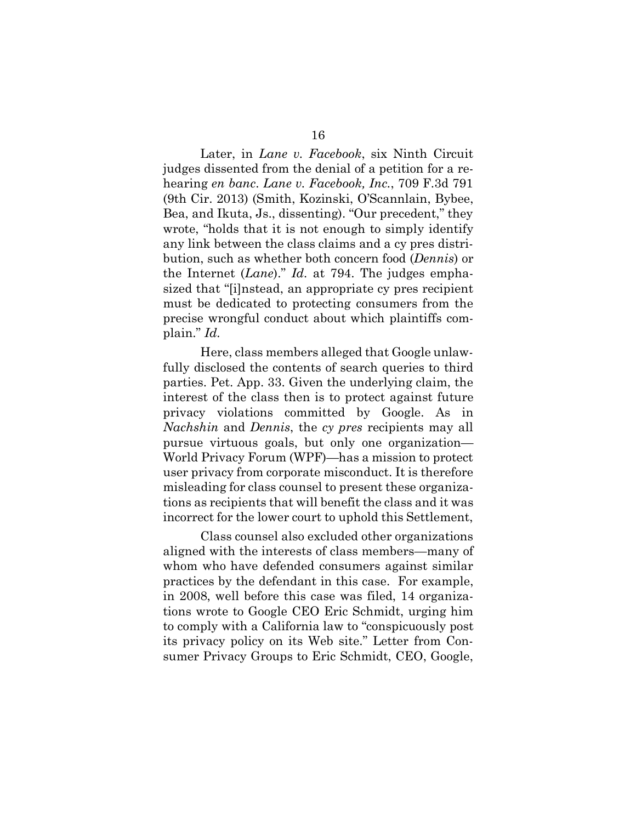Later, in *Lane v. Facebook*, six Ninth Circuit judges dissented from the denial of a petition for a rehearing *en banc*. *Lane v. Facebook, Inc.*, 709 F.3d 791 (9th Cir. 2013) (Smith, Kozinski, O'Scannlain, Bybee, Bea, and Ikuta, Js., dissenting). "Our precedent," they wrote, "holds that it is not enough to simply identify any link between the class claims and a cy pres distribution, such as whether both concern food (*Dennis*) or the Internet (*Lane*)." *Id.* at 794. The judges emphasized that "[i]nstead, an appropriate cy pres recipient must be dedicated to protecting consumers from the precise wrongful conduct about which plaintiffs complain." *Id.*

Here, class members alleged that Google unlawfully disclosed the contents of search queries to third parties. Pet. App. 33. Given the underlying claim, the interest of the class then is to protect against future privacy violations committed by Google. As in *Nachshin* and *Dennis*, the *cy pres* recipients may all pursue virtuous goals, but only one organization— World Privacy Forum (WPF)—has a mission to protect user privacy from corporate misconduct. It is therefore misleading for class counsel to present these organizations as recipients that will benefit the class and it was incorrect for the lower court to uphold this Settlement,

Class counsel also excluded other organizations aligned with the interests of class members—many of whom who have defended consumers against similar practices by the defendant in this case. For example, in 2008, well before this case was filed, 14 organizations wrote to Google CEO Eric Schmidt, urging him to comply with a California law to "conspicuously post its privacy policy on its Web site." Letter from Consumer Privacy Groups to Eric Schmidt, CEO, Google,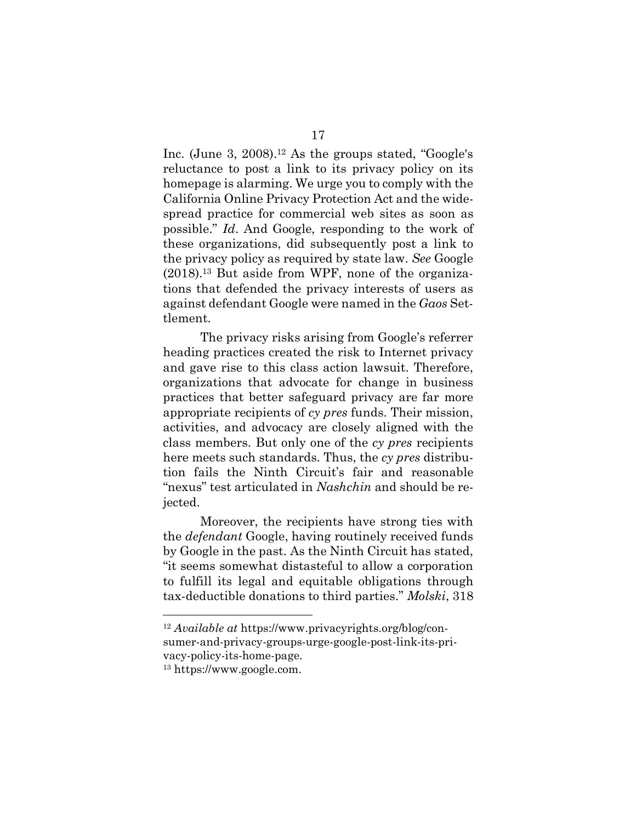Inc. (June 3, 2008). <sup>12</sup> As the groups stated, "Google's reluctance to post a link to its privacy policy on its homepage is alarming. We urge you to comply with the California Online Privacy Protection Act and the widespread practice for commercial web sites as soon as possible." *Id*. And Google, responding to the work of these organizations, did subsequently post a link to the privacy policy as required by state law. *See* Google (2018). <sup>13</sup> But aside from WPF, none of the organizations that defended the privacy interests of users as against defendant Google were named in the *Gaos* Settlement.

The privacy risks arising from Google's referrer heading practices created the risk to Internet privacy and gave rise to this class action lawsuit. Therefore, organizations that advocate for change in business practices that better safeguard privacy are far more appropriate recipients of *cy pres* funds. Their mission, activities, and advocacy are closely aligned with the class members. But only one of the *cy pres* recipients here meets such standards. Thus, the *cy pres* distribution fails the Ninth Circuit's fair and reasonable "nexus" test articulated in *Nashchin* and should be rejected.

Moreover, the recipients have strong ties with the *defendant* Google, having routinely received funds by Google in the past. As the Ninth Circuit has stated, "it seems somewhat distasteful to allow a corporation to fulfill its legal and equitable obligations through tax-deductible donations to third parties." *Molski*, 318

<sup>12</sup> *Available at* https://www.privacyrights.org/blog/consumer-and-privacy-groups-urge-google-post-link-its-privacy-policy-its-home-page.

<sup>13</sup> https://www.google.com.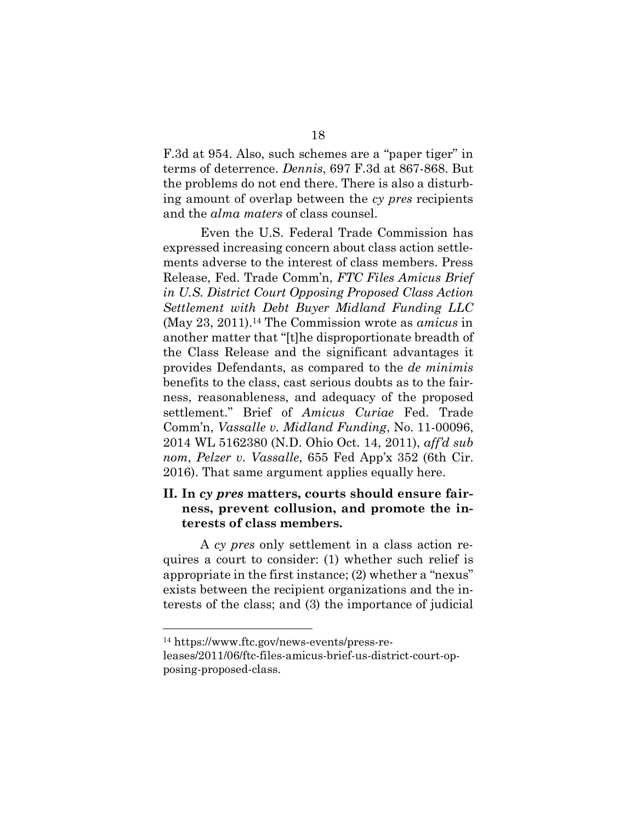F.3d at 954. Also, such schemes are a "paper tiger" in terms of deterrence. *Dennis*, 697 F.3d at 867-868. But the problems do not end there. There is also a disturbing amount of overlap between the *cy pres* recipients and the *alma maters* of class counsel.

Even the U.S. Federal Trade Commission has expressed increasing concern about class action settlements adverse to the interest of class members. Press Release, Fed. Trade Comm'n, *FTC Files Amicus Brief in U.S. District Court Opposing Proposed Class Action Settlement with Debt Buyer Midland Funding LLC* (May 23, 2011). <sup>14</sup> The Commission wrote as *amicus* in another matter that "[t]he disproportionate breadth of the Class Release and the significant advantages it provides Defendants, as compared to the *de minimis* benefits to the class, cast serious doubts as to the fairness, reasonableness, and adequacy of the proposed settlement." Brief of *Amicus Curiae* Fed. Trade Comm'n, *Vassalle v. Midland Funding*, No. 11-00096, 2014 WL 5162380 (N.D. Ohio Oct. 14, 2011), *aff'd sub nom*, *Pelzer v. Vassalle*, 655 Fed App'x 352 (6th Cir. 2016). That same argument applies equally here.

## **II. In** *cy pres* **matters, courts should ensure fairness, prevent collusion, and promote the interests of class members.**

A *cy pres* only settlement in a class action requires a court to consider: (1) whether such relief is appropriate in the first instance; (2) whether a "nexus" exists between the recipient organizations and the interests of the class; and (3) the importance of judicial

<sup>14</sup> https://www.ftc.gov/news-events/press-re-

leases/2011/06/ftc-files-amicus-brief-us-district-court-opposing-proposed-class.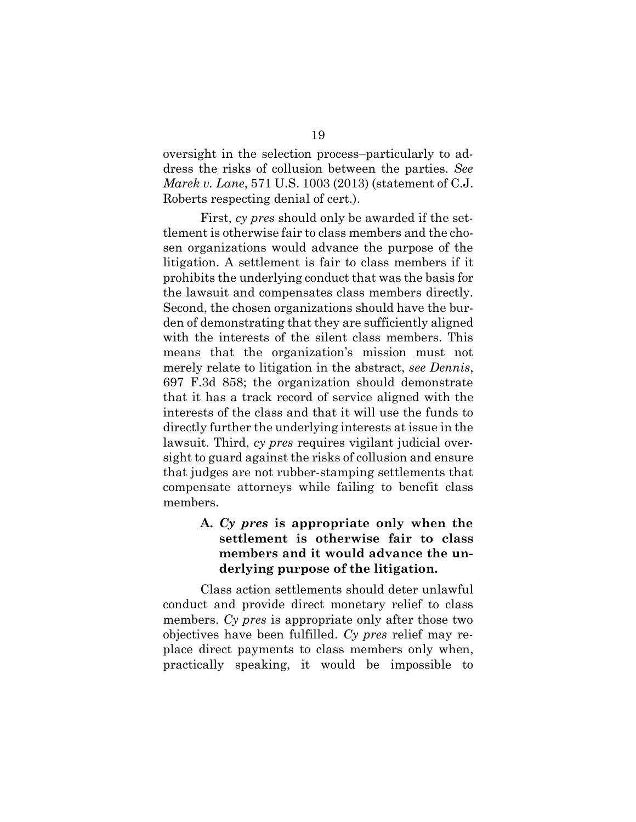oversight in the selection process–particularly to address the risks of collusion between the parties. *See Marek v. Lane*, 571 U.S. 1003 (2013) (statement of C.J. Roberts respecting denial of cert.).

First, *cy pres* should only be awarded if the settlement is otherwise fair to class members and the chosen organizations would advance the purpose of the litigation. A settlement is fair to class members if it prohibits the underlying conduct that was the basis for the lawsuit and compensates class members directly. Second, the chosen organizations should have the burden of demonstrating that they are sufficiently aligned with the interests of the silent class members. This means that the organization's mission must not merely relate to litigation in the abstract, *see Dennis*, 697 F.3d 858; the organization should demonstrate that it has a track record of service aligned with the interests of the class and that it will use the funds to directly further the underlying interests at issue in the lawsuit. Third, *cy pres* requires vigilant judicial oversight to guard against the risks of collusion and ensure that judges are not rubber-stamping settlements that compensate attorneys while failing to benefit class members.

## **A.** *Cy pres* **is appropriate only when the settlement is otherwise fair to class members and it would advance the underlying purpose of the litigation.**

Class action settlements should deter unlawful conduct and provide direct monetary relief to class members. *Cy pres* is appropriate only after those two objectives have been fulfilled. *Cy pres* relief may replace direct payments to class members only when, practically speaking, it would be impossible to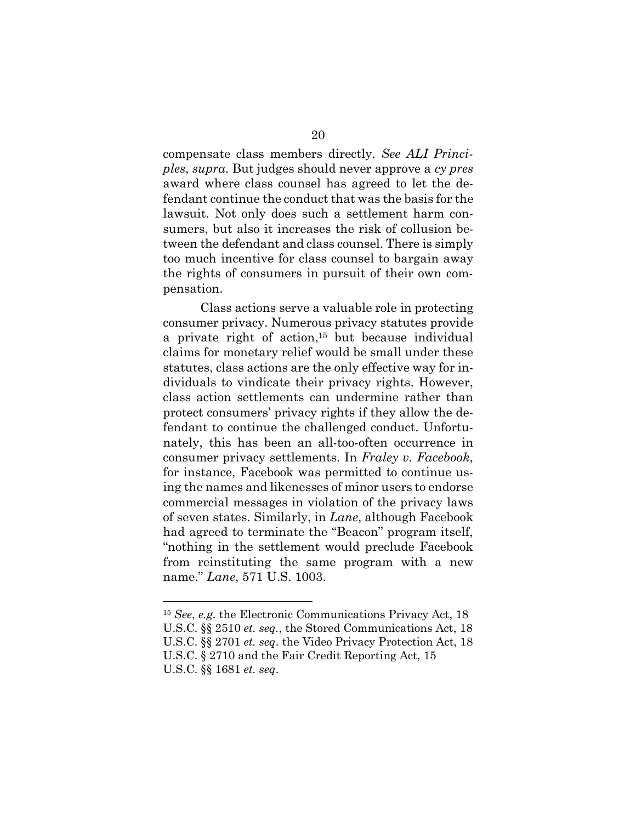compensate class members directly. *See ALI Principles*, *supra*. But judges should never approve a *cy pres* award where class counsel has agreed to let the defendant continue the conduct that was the basis for the lawsuit. Not only does such a settlement harm consumers, but also it increases the risk of collusion between the defendant and class counsel. There is simply too much incentive for class counsel to bargain away the rights of consumers in pursuit of their own compensation.

Class actions serve a valuable role in protecting consumer privacy. Numerous privacy statutes provide a private right of action,15 but because individual claims for monetary relief would be small under these statutes, class actions are the only effective way for individuals to vindicate their privacy rights. However, class action settlements can undermine rather than protect consumers' privacy rights if they allow the defendant to continue the challenged conduct. Unfortunately, this has been an all-too-often occurrence in consumer privacy settlements. In *Fraley v. Facebook*, for instance, Facebook was permitted to continue using the names and likenesses of minor users to endorse commercial messages in violation of the privacy laws of seven states. Similarly, in *Lane*, although Facebook had agreed to terminate the "Beacon" program itself, "nothing in the settlement would preclude Facebook from reinstituting the same program with a new name." *Lane*, 571 U.S. 1003.

1

<sup>15</sup> *See*, *e.g.* the Electronic Communications Privacy Act, 18 U.S.C. §§ 2510 *et. seq.*, the Stored Communications Act, 18 U.S.C. §§ 2701 *et. seq*. the Video Privacy Protection Act, 18 U.S.C. § 2710 and the Fair Credit Reporting Act, 15 U.S.C. §§ 1681 *et. seq*.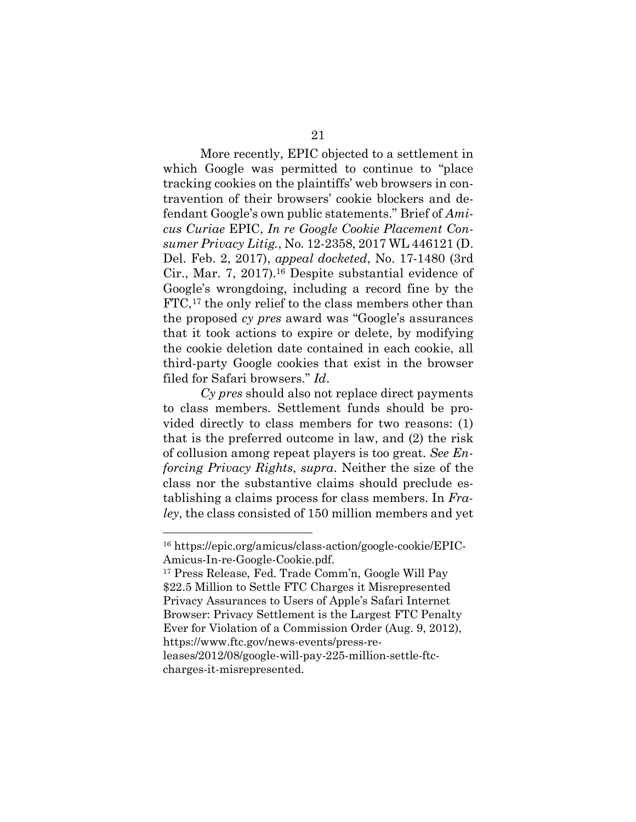More recently, EPIC objected to a settlement in which Google was permitted to continue to "place tracking cookies on the plaintiffs' web browsers in contravention of their browsers' cookie blockers and defendant Google's own public statements." Brief of *Amicus Curiae* EPIC, *In re Google Cookie Placement Consumer Privacy Litig.*, No. 12-2358, 2017 WL 446121 (D. Del. Feb. 2, 2017), *appeal docketed*, No. 17-1480 (3rd Cir., Mar. 7, 2017).16 Despite substantial evidence of Google's wrongdoing, including a record fine by the FTC,<sup>17</sup> the only relief to the class members other than the proposed *cy pres* award was "Google's assurances that it took actions to expire or delete, by modifying the cookie deletion date contained in each cookie, all third-party Google cookies that exist in the browser filed for Safari browsers." *Id*.

*Cy pres* should also not replace direct payments to class members. Settlement funds should be provided directly to class members for two reasons: (1) that is the preferred outcome in law, and (2) the risk of collusion among repeat players is too great. *See Enforcing Privacy Rights*, *supra*. Neither the size of the class nor the substantive claims should preclude establishing a claims process for class members. In *Fraley*, the class consisted of 150 million members and yet

1

<sup>16</sup> https://epic.org/amicus/class-action/google-cookie/EPIC-Amicus-In-re-Google-Cookie.pdf.

<sup>17</sup> Press Release, Fed. Trade Comm'n, Google Will Pay \$22.5 Million to Settle FTC Charges it Misrepresented Privacy Assurances to Users of Apple's Safari Internet Browser: Privacy Settlement is the Largest FTC Penalty Ever for Violation of a Commission Order (Aug. 9, 2012), https://www.ftc.gov/news-events/press-releases/2012/08/google-will-pay-225-million-settle-ftccharges-it-misrepresented.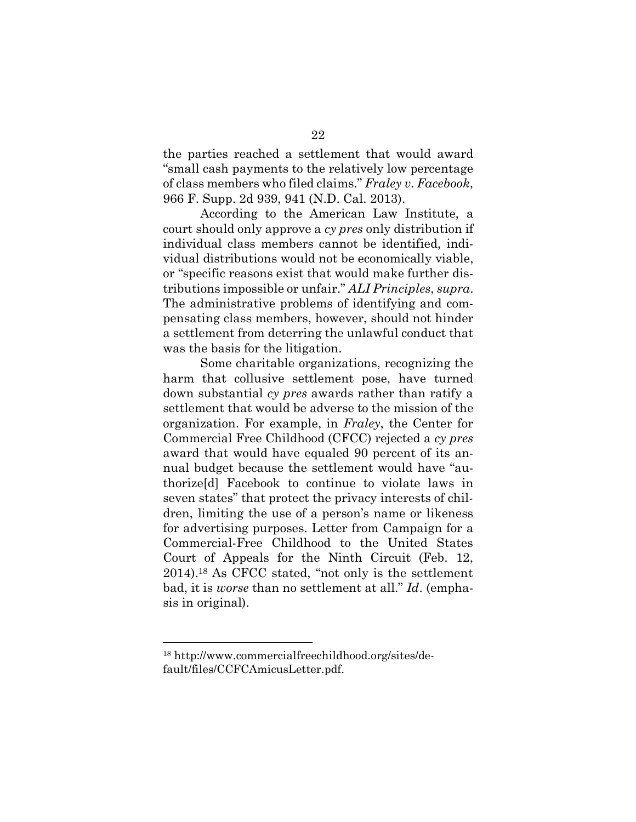the parties reached a settlement that would award "small cash payments to the relatively low percentage of class members who filed claims." *Fraley v. Facebook*, 966 F. Supp. 2d 939, 941 (N.D. Cal. 2013).

According to the American Law Institute, a court should only approve a *cy pres* only distribution if individual class members cannot be identified, individual distributions would not be economically viable, or "specific reasons exist that would make further distributions impossible or unfair." *ALI Principles*, *supra*. The administrative problems of identifying and compensating class members, however, should not hinder a settlement from deterring the unlawful conduct that was the basis for the litigation.

Some charitable organizations, recognizing the harm that collusive settlement pose, have turned down substantial *cy pres* awards rather than ratify a settlement that would be adverse to the mission of the organization. For example, in *Fraley*, the Center for Commercial Free Childhood (CFCC) rejected a *cy pres* award that would have equaled 90 percent of its annual budget because the settlement would have "authorize[d] Facebook to continue to violate laws in seven states" that protect the privacy interests of children, limiting the use of a person's name or likeness for advertising purposes. Letter from Campaign for a Commercial-Free Childhood to the United States Court of Appeals for the Ninth Circuit (Feb. 12, 2014).18 As CFCC stated, "not only is the settlement bad, it is *worse* than no settlement at all." *Id*. (emphasis in original).

<sup>18</sup> http://www.commercialfreechildhood.org/sites/default/files/CCFCAmicusLetter.pdf.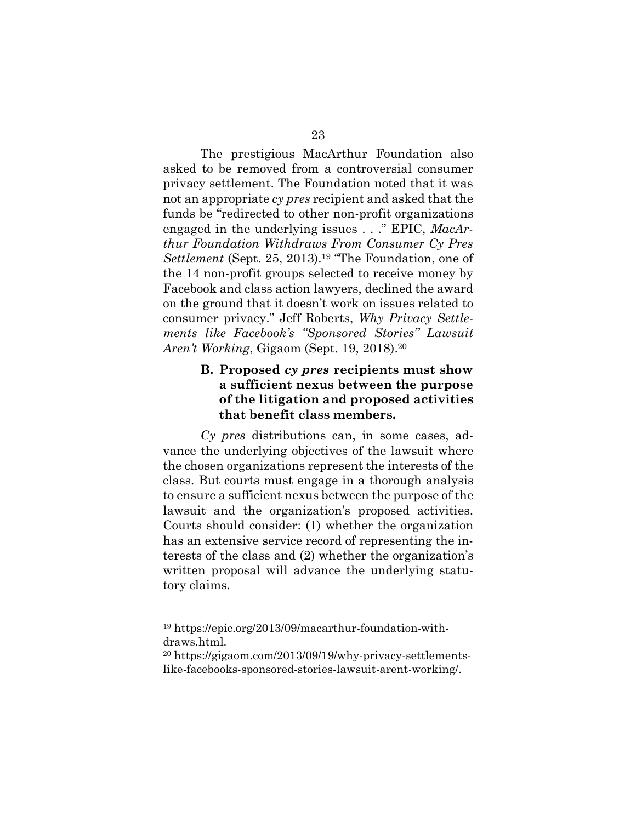The prestigious MacArthur Foundation also asked to be removed from a controversial consumer privacy settlement. The Foundation noted that it was not an appropriate *cy pres* recipient and asked that the funds be "redirected to other non-profit organizations engaged in the underlying issues . . ." EPIC, *MacArthur Foundation Withdraws From Consumer Cy Pres Settlement* (Sept. 25, 2013).19 "The Foundation, one of the 14 non-profit groups selected to receive money by Facebook and class action lawyers, declined the award on the ground that it doesn't work on issues related to consumer privacy." Jeff Roberts, *Why Privacy Settlements like Facebook's "Sponsored Stories" Lawsuit Aren't Working*, Gigaom (Sept. 19, 2018).20

## **B. Proposed** *cy pres* **recipients must show a sufficient nexus between the purpose of the litigation and proposed activities that benefit class members.**

*Cy pres* distributions can, in some cases, advance the underlying objectives of the lawsuit where the chosen organizations represent the interests of the class. But courts must engage in a thorough analysis to ensure a sufficient nexus between the purpose of the lawsuit and the organization's proposed activities. Courts should consider: (1) whether the organization has an extensive service record of representing the interests of the class and (2) whether the organization's written proposal will advance the underlying statutory claims.

<sup>19</sup> https://epic.org/2013/09/macarthur-foundation-withdraws.html.

<sup>20</sup> https://gigaom.com/2013/09/19/why-privacy-settlementslike-facebooks-sponsored-stories-lawsuit-arent-working/.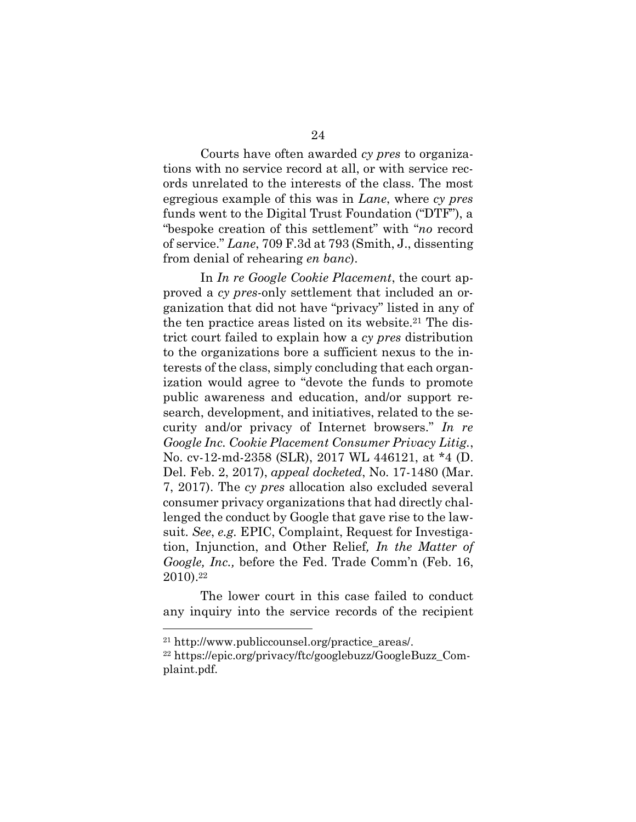Courts have often awarded *cy pres* to organizations with no service record at all, or with service records unrelated to the interests of the class. The most egregious example of this was in *Lane*, where *cy pres* funds went to the Digital Trust Foundation ("DTF"), a "bespoke creation of this settlement" with "*no* record of service." *Lane*, 709 F.3d at 793 (Smith, J., dissenting from denial of rehearing *en banc*).

In *In re Google Cookie Placement*, the court approved a *cy pres-*only settlement that included an organization that did not have "privacy" listed in any of the ten practice areas listed on its website.<sup>21</sup> The district court failed to explain how a *cy pres* distribution to the organizations bore a sufficient nexus to the interests of the class, simply concluding that each organization would agree to "devote the funds to promote public awareness and education, and/or support research, development, and initiatives, related to the security and/or privacy of Internet browsers." *In re Google Inc. Cookie Placement Consumer Privacy Litig.*, No. cv-12-md-2358 (SLR), 2017 WL 446121, at \*4 (D. Del. Feb. 2, 2017), *appeal docketed*, No. 17-1480 (Mar. 7, 2017). The *cy pres* allocation also excluded several consumer privacy organizations that had directly challenged the conduct by Google that gave rise to the lawsuit. *See*, *e.g.* EPIC, Complaint, Request for Investigation, Injunction, and Other Relief*, In the Matter of Google, Inc.,* before the Fed. Trade Comm'n (Feb. 16, 2010).22

The lower court in this case failed to conduct any inquiry into the service records of the recipient

<sup>&</sup>lt;sup>21</sup> http://www.publiccounsel.org/practice\_areas/.

<sup>22</sup> https://epic.org/privacy/ftc/googlebuzz/GoogleBuzz\_Complaint.pdf.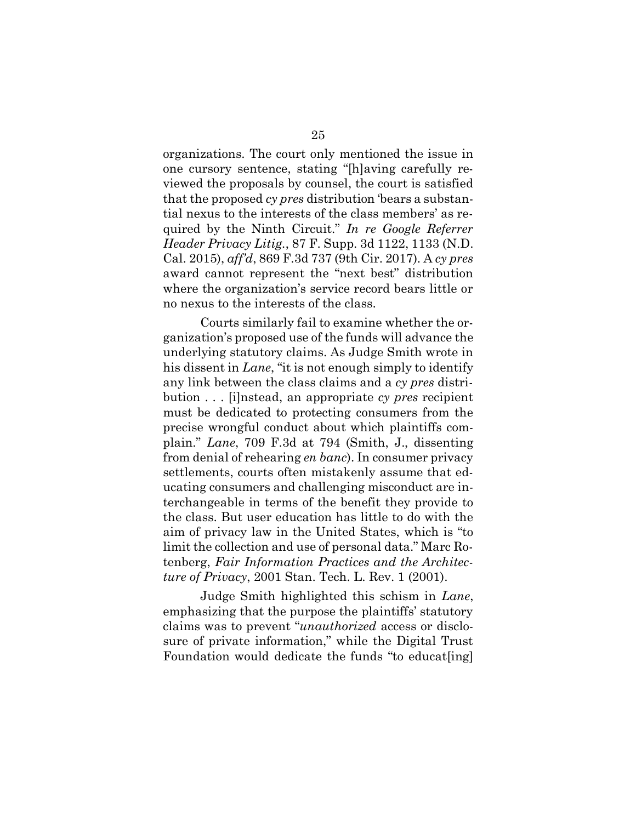organizations. The court only mentioned the issue in one cursory sentence, stating "[h]aving carefully reviewed the proposals by counsel, the court is satisfied that the proposed *cy pres* distribution 'bears a substantial nexus to the interests of the class members' as required by the Ninth Circuit." *In re Google Referrer Header Privacy Litig.*, 87 F. Supp. 3d 1122, 1133 (N.D. Cal. 2015), *aff'd*, 869 F.3d 737 (9th Cir. 2017). A *cy pres* award cannot represent the "next best" distribution where the organization's service record bears little or no nexus to the interests of the class.

Courts similarly fail to examine whether the organization's proposed use of the funds will advance the underlying statutory claims. As Judge Smith wrote in his dissent in *Lane*, "it is not enough simply to identify any link between the class claims and a *cy pres* distribution . . . [i]nstead, an appropriate *cy pres* recipient must be dedicated to protecting consumers from the precise wrongful conduct about which plaintiffs complain." *Lane*, 709 F.3d at 794 (Smith, J., dissenting from denial of rehearing *en banc*). In consumer privacy settlements, courts often mistakenly assume that educating consumers and challenging misconduct are interchangeable in terms of the benefit they provide to the class. But user education has little to do with the aim of privacy law in the United States, which is "to limit the collection and use of personal data." Marc Rotenberg, *Fair Information Practices and the Architecture of Privacy*, 2001 Stan. Tech. L. Rev. 1 (2001).

Judge Smith highlighted this schism in *Lane*, emphasizing that the purpose the plaintiffs' statutory claims was to prevent "*unauthorized* access or disclosure of private information," while the Digital Trust Foundation would dedicate the funds "to educat[ing]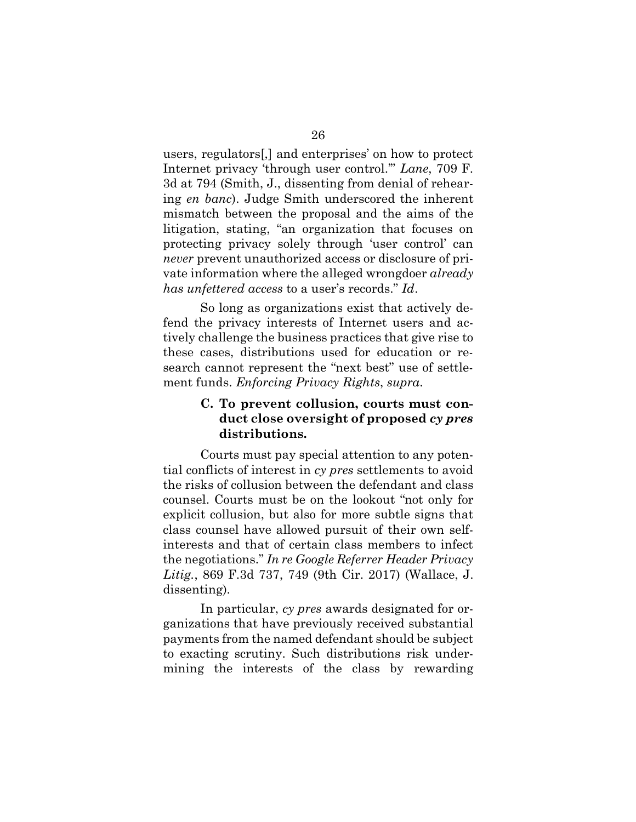users, regulators[,] and enterprises' on how to protect Internet privacy 'through user control.'" *Lane*, 709 F. 3d at 794 (Smith, J., dissenting from denial of rehearing *en banc*). Judge Smith underscored the inherent mismatch between the proposal and the aims of the litigation, stating, "an organization that focuses on protecting privacy solely through 'user control' can *never* prevent unauthorized access or disclosure of private information where the alleged wrongdoer *already has unfettered access* to a user's records." *Id*.

So long as organizations exist that actively defend the privacy interests of Internet users and actively challenge the business practices that give rise to these cases, distributions used for education or research cannot represent the "next best" use of settlement funds. *Enforcing Privacy Rights*, *supra*.

## **C. To prevent collusion, courts must conduct close oversight of proposed** *cy pres* **distributions.**

Courts must pay special attention to any potential conflicts of interest in *cy pres* settlements to avoid the risks of collusion between the defendant and class counsel. Courts must be on the lookout "not only for explicit collusion, but also for more subtle signs that class counsel have allowed pursuit of their own selfinterests and that of certain class members to infect the negotiations." *In re Google Referrer Header Privacy Litig.*, 869 F.3d 737, 749 (9th Cir. 2017) (Wallace, J. dissenting).

In particular, *cy pres* awards designated for organizations that have previously received substantial payments from the named defendant should be subject to exacting scrutiny. Such distributions risk undermining the interests of the class by rewarding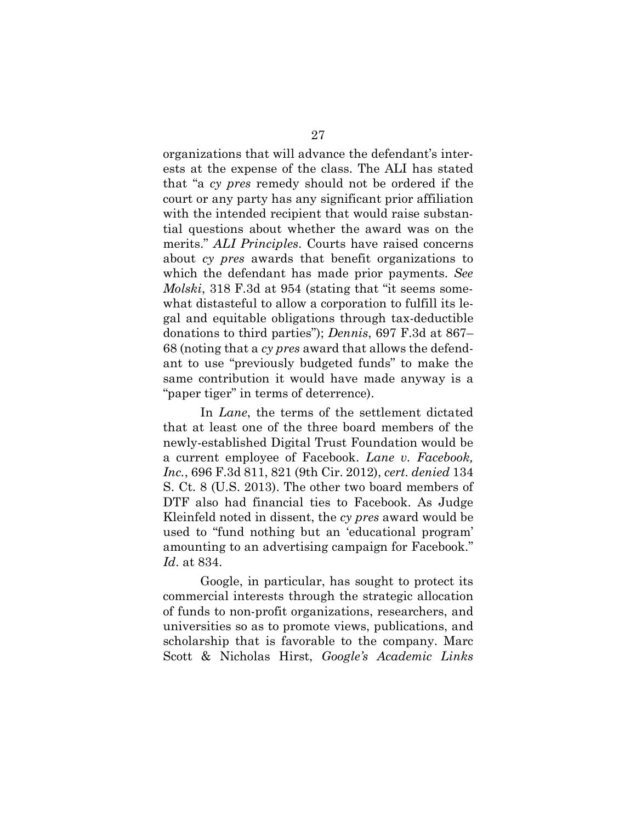organizations that will advance the defendant's interests at the expense of the class. The ALI has stated that "a *cy pres* remedy should not be ordered if the court or any party has any significant prior affiliation with the intended recipient that would raise substantial questions about whether the award was on the merits." *ALI Principles*. Courts have raised concerns about *cy pres* awards that benefit organizations to which the defendant has made prior payments. *See Molski*, 318 F.3d at 954 (stating that "it seems somewhat distasteful to allow a corporation to fulfill its legal and equitable obligations through tax-deductible donations to third parties"); *Dennis*, 697 F.3d at 867– 68 (noting that a *cy pres* award that allows the defendant to use "previously budgeted funds" to make the same contribution it would have made anyway is a "paper tiger" in terms of deterrence).

In *Lane*, the terms of the settlement dictated that at least one of the three board members of the newly-established Digital Trust Foundation would be a current employee of Facebook. *Lane v. Facebook, Inc.*, 696 F.3d 811, 821 (9th Cir. 2012), *cert. denied* 134 S. Ct. 8 (U.S. 2013). The other two board members of DTF also had financial ties to Facebook. As Judge Kleinfeld noted in dissent, the *cy pres* award would be used to "fund nothing but an 'educational program' amounting to an advertising campaign for Facebook." *Id*. at 834.

Google, in particular, has sought to protect its commercial interests through the strategic allocation of funds to non-profit organizations, researchers, and universities so as to promote views, publications, and scholarship that is favorable to the company. Marc Scott & Nicholas Hirst, *Google's Academic Links*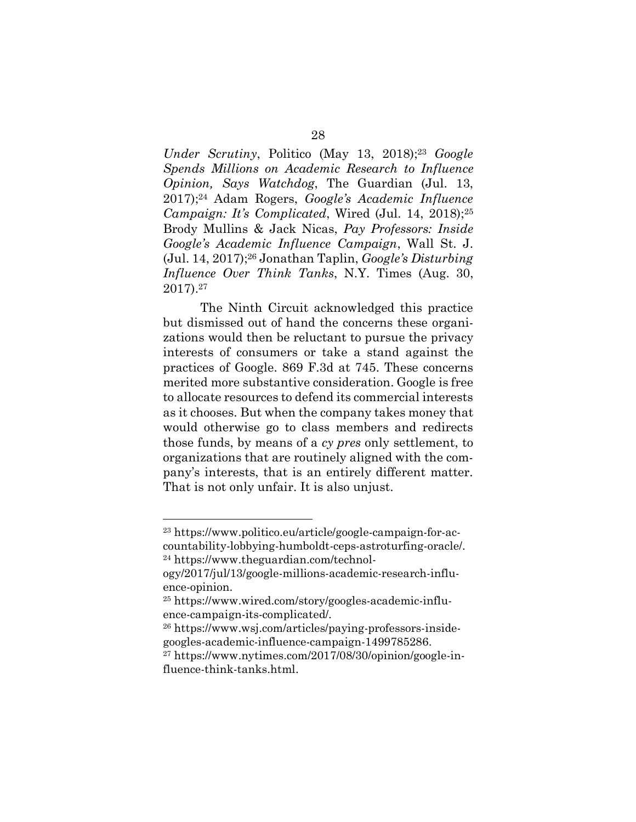*Under Scrutiny*, Politico (May 13, 2018);<sup>23</sup> *Google Spends Millions on Academic Research to Influence Opinion, Says Watchdog*, The Guardian (Jul. 13, 2017); <sup>24</sup> Adam Rogers, *Google's Academic Influence Campaign: It's Complicated, Wired (Jul. 14, 2018)*;<sup>25</sup> Brody Mullins & Jack Nicas, *Pay Professors: Inside Google's Academic Influence Campaign*, Wall St. J. (Jul. 14, 2017);26 Jonathan Taplin, *Google's Disturbing Influence Over Think Tanks*, N.Y. Times (Aug. 30, 2017). 27

The Ninth Circuit acknowledged this practice but dismissed out of hand the concerns these organizations would then be reluctant to pursue the privacy interests of consumers or take a stand against the practices of Google. 869 F.3d at 745. These concerns merited more substantive consideration. Google is free to allocate resources to defend its commercial interests as it chooses. But when the company takes money that would otherwise go to class members and redirects those funds, by means of a *cy pres* only settlement, to organizations that are routinely aligned with the company's interests, that is an entirely different matter. That is not only unfair. It is also unjust.

1

<sup>23</sup> https://www.politico.eu/article/google-campaign-for-accountability-lobbying-humboldt-ceps-astroturfing-oracle/. <sup>24</sup> https://www.theguardian.com/technol-

ogy/2017/jul/13/google-millions-academic-research-influence-opinion.

<sup>25</sup> https://www.wired.com/story/googles-academic-influence-campaign-its-complicated/.

<sup>26</sup> https://www.wsj.com/articles/paying-professors-insidegoogles-academic-influence-campaign-1499785286.

<sup>27</sup> https://www.nytimes.com/2017/08/30/opinion/google-influence-think-tanks.html.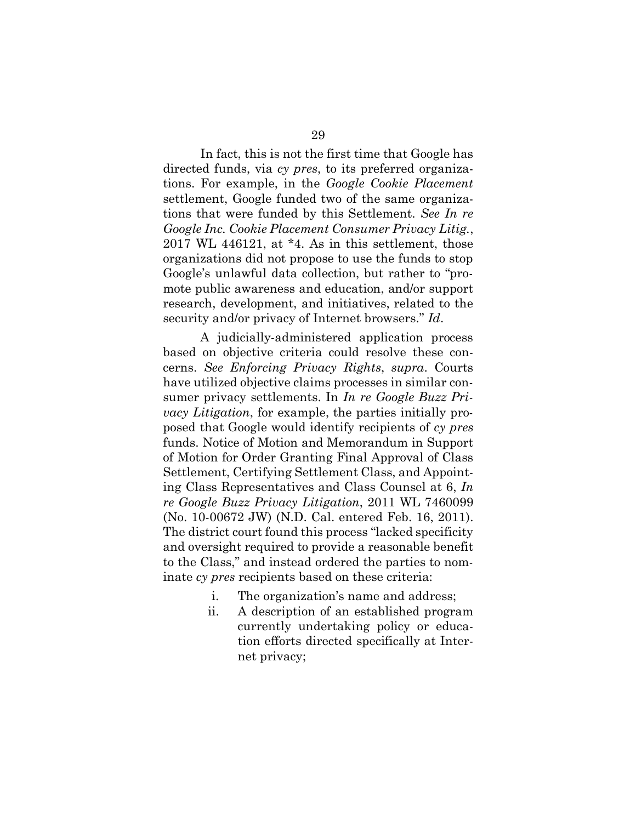In fact, this is not the first time that Google has directed funds, via *cy pres*, to its preferred organizations. For example, in the *Google Cookie Placement*  settlement, Google funded two of the same organizations that were funded by this Settlement. *See In re Google Inc. Cookie Placement Consumer Privacy Litig.*, 2017 WL 446121, at \*4. As in this settlement, those organizations did not propose to use the funds to stop Google's unlawful data collection, but rather to "promote public awareness and education, and/or support research, development, and initiatives, related to the security and/or privacy of Internet browsers." *Id*.

A judicially-administered application process based on objective criteria could resolve these concerns. *See Enforcing Privacy Rights*, *supra*. Courts have utilized objective claims processes in similar consumer privacy settlements. In *In re Google Buzz Privacy Litigation*, for example, the parties initially proposed that Google would identify recipients of *cy pres* funds. Notice of Motion and Memorandum in Support of Motion for Order Granting Final Approval of Class Settlement, Certifying Settlement Class, and Appointing Class Representatives and Class Counsel at 6, *In re Google Buzz Privacy Litigation*, 2011 WL 7460099 (No. 10-00672 JW) (N.D. Cal. entered Feb. 16, 2011). The district court found this process "lacked specificity and oversight required to provide a reasonable benefit to the Class," and instead ordered the parties to nominate *cy pres* recipients based on these criteria:

- i. The organization's name and address;
- ii. A description of an established program currently undertaking policy or education efforts directed specifically at Internet privacy;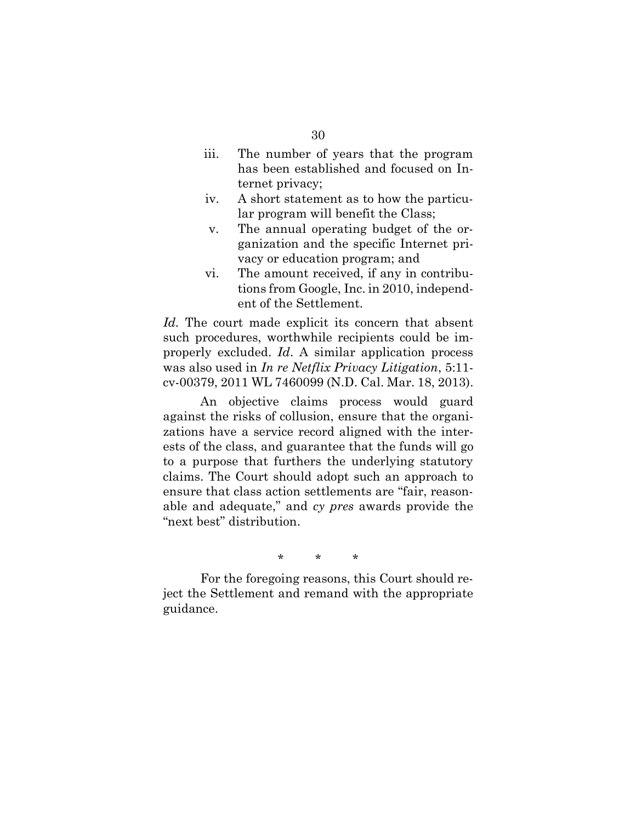- iii. The number of years that the program has been established and focused on Internet privacy;
- iv. A short statement as to how the particular program will benefit the Class;
- v. The annual operating budget of the organization and the specific Internet privacy or education program; and
- vi. The amount received, if any in contributions from Google, Inc. in 2010, independent of the Settlement.

*Id.* The court made explicit its concern that absent such procedures, worthwhile recipients could be improperly excluded. *Id*. A similar application process was also used in *In re Netflix Privacy Litigation*, 5:11 cv-00379, 2011 WL 7460099 (N.D. Cal. Mar. 18, 2013).

An objective claims process would guard against the risks of collusion, ensure that the organizations have a service record aligned with the interests of the class, and guarantee that the funds will go to a purpose that furthers the underlying statutory claims. The Court should adopt such an approach to ensure that class action settlements are "fair, reasonable and adequate," and *cy pres* awards provide the "next best" distribution.

\* \* \*

For the foregoing reasons, this Court should reject the Settlement and remand with the appropriate guidance.